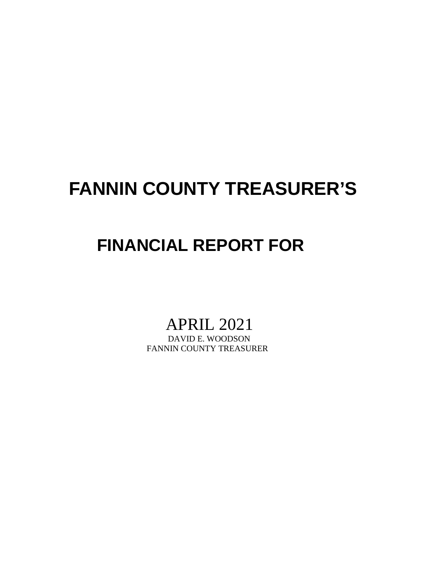# **FANNIN COUNTY TREASURER'S**

## **FINANCIAL REPORT FOR**

# APRIL 2021<br>DAVID E. WOODSON

FANNIN COUNTY TREASURER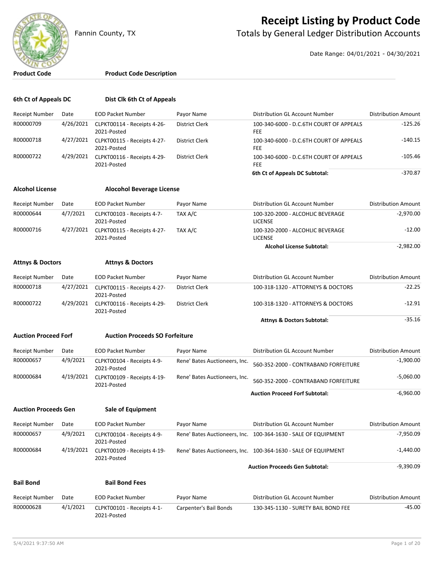

### **Receipt Listing by Product Code**

Fannin County, TX **The County of Totals by General Ledger Distribution Accounts** 

Date Range: 04/01/2021 - 04/30/2021

#### **Product Code Product Code Description**

| 6th Ct of Appeals DC        |           | Dist Clk 6th Ct of Appeals                 |                               |                                                                |                            |
|-----------------------------|-----------|--------------------------------------------|-------------------------------|----------------------------------------------------------------|----------------------------|
| Receipt Number              | Date      | <b>EOD Packet Number</b>                   | Payor Name                    | Distribution GL Account Number                                 | <b>Distribution Amount</b> |
| R00000709                   | 4/26/2021 | CLPKT00114 - Receipts 4-26-<br>2021-Posted | District Clerk                | 100-340-6000 - D.C.6TH COURT OF APPEALS<br>FEE                 | $-125.26$                  |
| R00000718                   | 4/27/2021 | CLPKT00115 - Receipts 4-27-<br>2021-Posted | <b>District Clerk</b>         | 100-340-6000 - D.C.6TH COURT OF APPEALS<br>FEE                 | $-140.15$                  |
| R00000722                   | 4/29/2021 | CLPKT00116 - Receipts 4-29-<br>2021-Posted | District Clerk                | 100-340-6000 - D.C.6TH COURT OF APPEALS<br>FEE                 | $-105.46$                  |
|                             |           |                                            |                               | 6th Ct of Appeals DC Subtotal:                                 | $-370.87$                  |
| <b>Alcohol License</b>      |           | <b>Alocohol Beverage License</b>           |                               |                                                                |                            |
| Receipt Number              | Date      | <b>EOD Packet Number</b>                   | Payor Name                    | Distribution GL Account Number                                 | <b>Distribution Amount</b> |
| R00000644                   | 4/7/2021  | CLPKT00103 - Receipts 4-7-<br>2021-Posted  | TAX A/C                       | 100-320-2000 - ALCOHLIC BEVERAGE<br><b>LICENSE</b>             | $-2,970.00$                |
| R00000716                   | 4/27/2021 | CLPKT00115 - Receipts 4-27-<br>2021-Posted | TAX A/C                       | 100-320-2000 - ALCOHLIC BEVERAGE<br><b>LICENSE</b>             | $-12.00$                   |
|                             |           |                                            |                               | <b>Alcohol License Subtotal:</b>                               | $-2,982.00$                |
| <b>Attnys &amp; Doctors</b> |           | <b>Attnys &amp; Doctors</b>                |                               |                                                                |                            |
| Receipt Number              | Date      | <b>EOD Packet Number</b>                   | Payor Name                    | Distribution GL Account Number                                 | <b>Distribution Amount</b> |
| R00000718                   | 4/27/2021 | CLPKT00115 - Receipts 4-27-<br>2021-Posted | District Clerk                | 100-318-1320 - ATTORNEYS & DOCTORS                             | -22.25                     |
| R00000722                   | 4/29/2021 | CLPKT00116 - Receipts 4-29-<br>2021-Posted | District Clerk                | 100-318-1320 - ATTORNEYS & DOCTORS                             | $-12.91$                   |
|                             |           |                                            |                               | <b>Attnys &amp; Doctors Subtotal:</b>                          | $-35.16$                   |
| <b>Auction Proceed Forf</b> |           | <b>Auction Proceeds SO Forfeiture</b>      |                               |                                                                |                            |
| <b>Receipt Number</b>       | Date      | <b>EOD Packet Number</b>                   | Payor Name                    | Distribution GL Account Number                                 | <b>Distribution Amount</b> |
| R00000657                   | 4/9/2021  | CLPKT00104 - Receipts 4-9-<br>2021-Posted  | Rene' Bates Auctioneers, Inc. | 560-352-2000 - CONTRABAND FORFEITURE                           | $-1,900.00$                |
| R00000684                   | 4/19/2021 | CLPKT00109 - Receipts 4-19-<br>2021-Posted | Rene' Bates Auctioneers, Inc. | 560-352-2000 - CONTRABAND FORFEITURE                           | -5,060.00                  |
|                             |           |                                            |                               | <b>Auction Proceed Forf Subtotal:</b>                          | $-6,960.00$                |
| <b>Auction Proceeds Gen</b> |           | <b>Sale of Equipment</b>                   |                               |                                                                |                            |
| Receipt Number              | Date      | <b>EOD Packet Number</b>                   | Payor Name                    | Distribution GL Account Number                                 | <b>Distribution Amount</b> |
| R00000657                   | 4/9/2021  | CLPKT00104 - Receipts 4-9-<br>2021-Posted  |                               | Rene' Bates Auctioneers, Inc. 100-364-1630 - SALE OF EQUIPMENT | $-7,950.09$                |
| R00000684                   | 4/19/2021 | CLPKT00109 - Receipts 4-19-<br>2021-Posted |                               | Rene' Bates Auctioneers, Inc. 100-364-1630 - SALE OF EQUIPMENT | $-1,440.00$                |
|                             |           |                                            |                               | <b>Auction Proceeds Gen Subtotal:</b>                          | $-9,390.09$                |
| <b>Bail Bond</b>            |           | <b>Bail Bond Fees</b>                      |                               |                                                                |                            |
| Receipt Number              | Date      | <b>EOD Packet Number</b>                   | Payor Name                    | Distribution GL Account Number                                 | <b>Distribution Amount</b> |
| R00000628                   | 4/1/2021  | CLPKT00101 - Receipts 4-1-<br>2021-Posted  | Carpenter's Bail Bonds        | 130-345-1130 - SURETY BAIL BOND FEE                            | $-45.00$                   |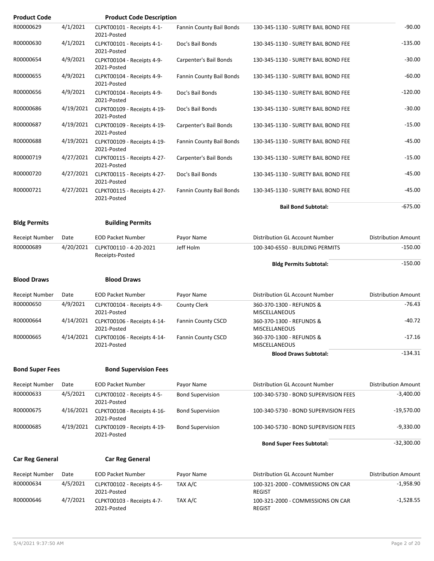| <b>Product Code</b>    |           | <b>Product Code Description</b>            |                          |                                                    |                            |
|------------------------|-----------|--------------------------------------------|--------------------------|----------------------------------------------------|----------------------------|
| R00000629              | 4/1/2021  | CLPKT00101 - Receipts 4-1-<br>2021-Posted  | Fannin County Bail Bonds | 130-345-1130 - SURETY BAIL BOND FEE                | $-90.00$                   |
| R00000630              | 4/1/2021  | CLPKT00101 - Receipts 4-1-<br>2021-Posted  | Doc's Bail Bonds         | 130-345-1130 - SURETY BAIL BOND FEE                | $-135.00$                  |
| R00000654              | 4/9/2021  | CLPKT00104 - Receipts 4-9-<br>2021-Posted  | Carpenter's Bail Bonds   | 130-345-1130 - SURETY BAIL BOND FEE                | $-30.00$                   |
| R00000655              | 4/9/2021  | CLPKT00104 - Receipts 4-9-<br>2021-Posted  | Fannin County Bail Bonds | 130-345-1130 - SURETY BAIL BOND FEE                | $-60.00$                   |
| R00000656              | 4/9/2021  | CLPKT00104 - Receipts 4-9-<br>2021-Posted  | Doc's Bail Bonds         | 130-345-1130 - SURETY BAIL BOND FEE                | $-120.00$                  |
| R00000686              | 4/19/2021 | CLPKT00109 - Receipts 4-19-<br>2021-Posted | Doc's Bail Bonds         | 130-345-1130 - SURETY BAIL BOND FEE                | $-30.00$                   |
| R00000687              | 4/19/2021 | CLPKT00109 - Receipts 4-19-<br>2021-Posted | Carpenter's Bail Bonds   | 130-345-1130 - SURETY BAIL BOND FEE                | $-15.00$                   |
| R00000688              | 4/19/2021 | CLPKT00109 - Receipts 4-19-<br>2021-Posted | Fannin County Bail Bonds | 130-345-1130 - SURETY BAIL BOND FEE                | $-45.00$                   |
| R00000719              | 4/27/2021 | CLPKT00115 - Receipts 4-27-<br>2021-Posted | Carpenter's Bail Bonds   | 130-345-1130 - SURETY BAIL BOND FEE                | $-15.00$                   |
| R00000720              | 4/27/2021 | CLPKT00115 - Receipts 4-27-<br>2021-Posted | Doc's Bail Bonds         | 130-345-1130 - SURETY BAIL BOND FEE                | $-45.00$                   |
| R00000721              | 4/27/2021 | CLPKT00115 - Receipts 4-27-<br>2021-Posted | Fannin County Bail Bonds | 130-345-1130 - SURETY BAIL BOND FEE                | $-45.00$                   |
|                        |           |                                            |                          | <b>Bail Bond Subtotal:</b>                         | $-675.00$                  |
| <b>Bldg Permits</b>    |           | <b>Building Permits</b>                    |                          |                                                    |                            |
| Receipt Number         | Date      | <b>EOD Packet Number</b>                   | Payor Name               | Distribution GL Account Number                     | <b>Distribution Amount</b> |
| R00000689              | 4/20/2021 | CLPKT00110 - 4-20-2021<br>Receipts-Posted  | Jeff Holm                | 100-340-6550 - BUILDING PERMITS                    | $-150.00$                  |
|                        |           |                                            |                          | <b>Bldg Permits Subtotal:</b>                      | $-150.00$                  |
| <b>Blood Draws</b>     |           | <b>Blood Draws</b>                         |                          |                                                    |                            |
| <b>Receipt Number</b>  | Date      | <b>EOD Packet Number</b>                   | Payor Name               | Distribution GL Account Number                     | <b>Distribution Amount</b> |
| R00000650              | 4/9/2021  | CLPKT00104 - Receipts 4-9-<br>2021-Posted  | County Clerk             | 360-370-1300 - REFUNDS &<br><b>MISCELLANEOUS</b>   | $-76.43$                   |
| R00000664              | 4/14/2021 | CLPKT00106 - Receipts 4-14-<br>2021-Posted | Fannin County CSCD       | 360-370-1300 - REFUNDS &<br>MISCELLANEOUS          | $-40.72$                   |
| R00000665              | 4/14/2021 | CLPKT00106 - Receipts 4-14-<br>2021-Posted | Fannin County CSCD       | 360-370-1300 - REFUNDS &<br><b>MISCELLANEOUS</b>   | $-17.16$                   |
|                        |           |                                            |                          | <b>Blood Draws Subtotal:</b>                       | $-134.31$                  |
| <b>Bond Super Fees</b> |           | <b>Bond Supervision Fees</b>               |                          |                                                    |                            |
| Receipt Number         | Date      | <b>EOD Packet Number</b>                   | Payor Name               | Distribution GL Account Number                     | <b>Distribution Amount</b> |
| R00000633              | 4/5/2021  | CLPKT00102 - Receipts 4-5-<br>2021-Posted  | <b>Bond Supervision</b>  | 100-340-5730 - BOND SUPERVISION FEES               | $-3,400.00$                |
| R00000675              | 4/16/2021 | CLPKT00108 - Receipts 4-16-<br>2021-Posted | <b>Bond Supervision</b>  | 100-340-5730 - BOND SUPERVISION FEES               | $-19,570.00$               |
| R00000685              | 4/19/2021 | CLPKT00109 - Receipts 4-19-<br>2021-Posted | <b>Bond Supervision</b>  | 100-340-5730 - BOND SUPERVISION FEES               | $-9,330.00$                |
|                        |           |                                            |                          | <b>Bond Super Fees Subtotal:</b>                   | $-32,300.00$               |
| <b>Car Reg General</b> |           | <b>Car Reg General</b>                     |                          |                                                    |                            |
| Receipt Number         | Date      | <b>EOD Packet Number</b>                   | Payor Name               | Distribution GL Account Number                     | <b>Distribution Amount</b> |
| R00000634              | 4/5/2021  | CLPKT00102 - Receipts 4-5-<br>2021-Posted  | TAX A/C                  | 100-321-2000 - COMMISSIONS ON CAR<br><b>REGIST</b> | $-1,958.90$                |
| R00000646              | 4/7/2021  | CLPKT00103 - Receipts 4-7-<br>2021-Posted  | TAX A/C                  | 100-321-2000 - COMMISSIONS ON CAR<br><b>REGIST</b> | $-1,528.55$                |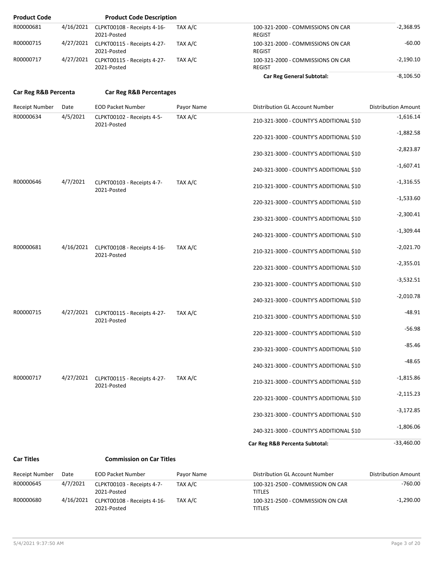| <b>Product Code</b>  |           | <b>Product Code Description</b>                      |            |                                                    |                            |
|----------------------|-----------|------------------------------------------------------|------------|----------------------------------------------------|----------------------------|
| R00000681            | 4/16/2021 | CLPKT00108 - Receipts 4-16-<br>2021-Posted           | TAX A/C    | 100-321-2000 - COMMISSIONS ON CAR<br><b>REGIST</b> | $-2,368.95$                |
| R00000715            |           | 4/27/2021 CLPKT00115 - Receipts 4-27-<br>2021-Posted | TAX A/C    | 100-321-2000 - COMMISSIONS ON CAR<br><b>REGIST</b> | $-60.00$                   |
| R00000717            |           | 4/27/2021 CLPKT00115 - Receipts 4-27-<br>2021-Posted | TAX A/C    | 100-321-2000 - COMMISSIONS ON CAR<br><b>REGIST</b> | $-2,190.10$                |
|                      |           |                                                      |            | <b>Car Reg General Subtotal:</b>                   | $-8,106.50$                |
| Car Reg R&B Percenta |           | <b>Car Reg R&amp;B Percentages</b>                   |            |                                                    |                            |
| Receipt Number       | Date      | <b>EOD Packet Number</b>                             | Payor Name | Distribution GL Account Number                     | <b>Distribution Amount</b> |
| R00000634            | 4/5/2021  | CLPKT00102 - Receipts 4-5-<br>2021-Posted            | TAX A/C    | 210-321-3000 - COUNTY'S ADDITIONAL \$10            | $-1,616.14$                |
|                      |           |                                                      |            | 220-321-3000 - COUNTY'S ADDITIONAL \$10            | $-1,882.58$                |
|                      |           |                                                      |            | 230-321-3000 - COUNTY'S ADDITIONAL \$10            | $-2,823.87$                |
|                      |           |                                                      |            | 240-321-3000 - COUNTY'S ADDITIONAL \$10            | $-1,607.41$                |
| R00000646            | 4/7/2021  | CLPKT00103 - Receipts 4-7-<br>2021-Posted            | TAX A/C    | 210-321-3000 - COUNTY'S ADDITIONAL \$10            | $-1,316.55$                |
|                      |           |                                                      |            | 220-321-3000 - COUNTY'S ADDITIONAL \$10            | $-1,533.60$                |
|                      |           |                                                      |            | 230-321-3000 - COUNTY'S ADDITIONAL \$10            | $-2,300.41$                |
|                      |           |                                                      |            | 240-321-3000 - COUNTY'S ADDITIONAL \$10            | $-1,309.44$                |
| R00000681            | 4/16/2021 | CLPKT00108 - Receipts 4-16-<br>2021-Posted           | TAX A/C    | 210-321-3000 - COUNTY'S ADDITIONAL \$10            | $-2,021.70$                |
|                      |           |                                                      |            | 220-321-3000 - COUNTY'S ADDITIONAL \$10            | $-2,355.01$                |
|                      |           |                                                      |            | 230-321-3000 - COUNTY'S ADDITIONAL \$10            | $-3,532.51$                |
|                      |           |                                                      |            | 240-321-3000 - COUNTY'S ADDITIONAL \$10            | $-2,010.78$                |
| R00000715            |           | 4/27/2021 CLPKT00115 - Receipts 4-27-<br>2021-Posted | TAX A/C    | 210-321-3000 - COUNTY'S ADDITIONAL \$10            | $-48.91$                   |
|                      |           |                                                      |            | 220-321-3000 - COUNTY'S ADDITIONAL \$10            | $-56.98$                   |
|                      |           |                                                      |            | 230-321-3000 - COUNTY'S ADDITIONAL \$10            | $-85.46$                   |
|                      |           |                                                      |            | 240-321-3000 - COUNTY'S ADDITIONAL \$10            | $-48.65$                   |
| R00000717            |           | 4/27/2021 CLPKT00115 - Receipts 4-27-<br>2021-Posted | TAX A/C    | 210-321-3000 - COUNTY'S ADDITIONAL \$10            | $-1,815.86$                |
|                      |           |                                                      |            | 220-321-3000 - COUNTY'S ADDITIONAL \$10            | $-2,115.23$                |
|                      |           |                                                      |            | 230-321-3000 - COUNTY'S ADDITIONAL \$10            | $-3,172.85$                |
|                      |           |                                                      |            | 240-321-3000 - COUNTY'S ADDITIONAL \$10            | $-1,806.06$                |
|                      |           |                                                      |            | Car Reg R&B Percenta Subtotal:                     | $-33,460.00$               |
| <b>Car Titles</b>    |           | <b>Commission on Car Titles</b>                      |            |                                                    |                            |

| Receipt Number | Date      | <b>EOD Packet Number</b>                   | Pavor Name | Distribution GL Account Number                    | <b>Distribution Amount</b> |
|----------------|-----------|--------------------------------------------|------------|---------------------------------------------------|----------------------------|
| R00000645      | 4/7/2021  | CLPKT00103 - Receipts 4-7-<br>2021-Posted  | TAX A/C    | 100-321-2500 - COMMISSION ON CAR<br><b>TITLES</b> | $-760.00$                  |
| R00000680      | 4/16/2021 | CLPKT00108 - Receipts 4-16-<br>2021-Posted | TAX A/C    | 100-321-2500 - COMMISSION ON CAR<br><b>TITLES</b> | $-1.290.00$                |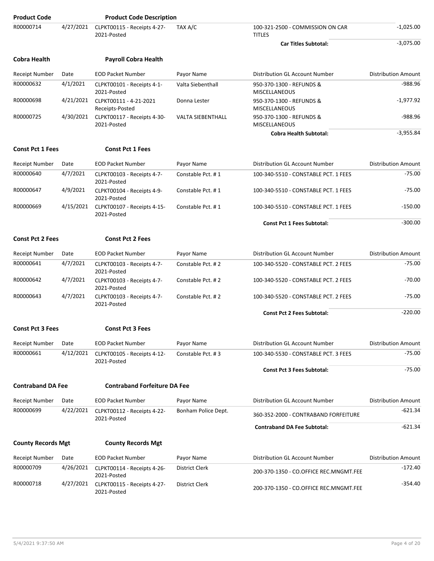| <b>Product Code</b>       |           | <b>Product Code Description</b>            |                          |                                                   |                            |
|---------------------------|-----------|--------------------------------------------|--------------------------|---------------------------------------------------|----------------------------|
| R00000714                 | 4/27/2021 | CLPKT00115 - Receipts 4-27-<br>2021-Posted | TAX A/C                  | 100-321-2500 - COMMISSION ON CAR<br><b>TITLES</b> | $-1,025.00$                |
|                           |           |                                            |                          | <b>Car Titles Subtotal:</b>                       | $-3,075.00$                |
| <b>Cobra Health</b>       |           | <b>Payroll Cobra Health</b>                |                          |                                                   |                            |
| <b>Receipt Number</b>     | Date      | <b>EOD Packet Number</b>                   | Payor Name               | Distribution GL Account Number                    | <b>Distribution Amount</b> |
| R00000632                 | 4/1/2021  | CLPKT00101 - Receipts 4-1-<br>2021-Posted  | Valta Siebenthall        | 950-370-1300 - REFUNDS &<br><b>MISCELLANEOUS</b>  | $-988.96$                  |
| R00000698                 | 4/21/2021 | CLPKT00111 - 4-21-2021<br>Receipts-Posted  | Donna Lester             | 950-370-1300 - REFUNDS &<br><b>MISCELLANEOUS</b>  | $-1,977.92$                |
| R00000725                 | 4/30/2021 | CLPKT00117 - Receipts 4-30-<br>2021-Posted | <b>VALTA SIEBENTHALL</b> | 950-370-1300 - REFUNDS &<br><b>MISCELLANEOUS</b>  | $-988.96$                  |
|                           |           |                                            |                          | <b>Cobra Health Subtotal:</b>                     | $-3,955.84$                |
| <b>Const Pct 1 Fees</b>   |           | <b>Const Pct 1 Fees</b>                    |                          |                                                   |                            |
| <b>Receipt Number</b>     | Date      | <b>EOD Packet Number</b>                   | Payor Name               | Distribution GL Account Number                    | <b>Distribution Amount</b> |
| R00000640                 | 4/7/2021  | CLPKT00103 - Receipts 4-7-<br>2021-Posted  | Constable Pct. #1        | 100-340-5510 - CONSTABLE PCT. 1 FEES              | $-75.00$                   |
| R00000647                 | 4/9/2021  | CLPKT00104 - Receipts 4-9-<br>2021-Posted  | Constable Pct. #1        | 100-340-5510 - CONSTABLE PCT. 1 FEES              | $-75.00$                   |
| R00000669                 | 4/15/2021 | CLPKT00107 - Receipts 4-15-<br>2021-Posted | Constable Pct. #1        | 100-340-5510 - CONSTABLE PCT. 1 FEES              | $-150.00$                  |
|                           |           |                                            |                          | <b>Const Pct 1 Fees Subtotal:</b>                 | $-300.00$                  |
| <b>Const Pct 2 Fees</b>   |           | <b>Const Pct 2 Fees</b>                    |                          |                                                   |                            |
| <b>Receipt Number</b>     | Date      | <b>EOD Packet Number</b>                   | Payor Name               | Distribution GL Account Number                    | <b>Distribution Amount</b> |
| R00000641                 | 4/7/2021  | CLPKT00103 - Receipts 4-7-<br>2021-Posted  | Constable Pct. #2        | 100-340-5520 - CONSTABLE PCT. 2 FEES              | $-75.00$                   |
| R00000642                 | 4/7/2021  | CLPKT00103 - Receipts 4-7-<br>2021-Posted  | Constable Pct. #2        | 100-340-5520 - CONSTABLE PCT. 2 FEES              | $-70.00$                   |
| R00000643                 | 4/7/2021  | CLPKT00103 - Receipts 4-7-<br>2021-Posted  | Constable Pct. #2        | 100-340-5520 - CONSTABLE PCT. 2 FEES              | $-75.00$                   |
|                           |           |                                            |                          | <b>Const Pct 2 Fees Subtotal:</b>                 | $-220.00$                  |
| <b>Const Pct 3 Fees</b>   |           | <b>Const Pct 3 Fees</b>                    |                          |                                                   |                            |
| Receipt Number            | Date      | <b>EOD Packet Number</b>                   | Payor Name               | Distribution GL Account Number                    | <b>Distribution Amount</b> |
| R00000661                 | 4/12/2021 | CLPKT00105 - Receipts 4-12-<br>2021-Posted | Constable Pct. #3        | 100-340-5530 - CONSTABLE PCT. 3 FEES              | $-75.00$                   |
|                           |           |                                            |                          | <b>Const Pct 3 Fees Subtotal:</b>                 | $-75.00$                   |
| <b>Contraband DA Fee</b>  |           | <b>Contraband Forfeiture DA Fee</b>        |                          |                                                   |                            |
| <b>Receipt Number</b>     | Date      | <b>EOD Packet Number</b>                   | Payor Name               | Distribution GL Account Number                    | <b>Distribution Amount</b> |
| R00000699                 | 4/22/2021 | CLPKT00112 - Receipts 4-22-<br>2021-Posted | Bonham Police Dept.      | 360-352-2000 - CONTRABAND FORFEITURE              | $-621.34$                  |
|                           |           |                                            |                          | <b>Contraband DA Fee Subtotal:</b>                | $-621.34$                  |
| <b>County Records Mgt</b> |           | <b>County Records Mgt</b>                  |                          |                                                   |                            |
| <b>Receipt Number</b>     | Date      | <b>EOD Packet Number</b>                   | Payor Name               | Distribution GL Account Number                    | <b>Distribution Amount</b> |
| R00000709                 | 4/26/2021 | CLPKT00114 - Receipts 4-26-<br>2021-Posted | District Clerk           | 200-370-1350 - CO.OFFICE REC.MNGMT.FEE            | $-172.40$                  |
| R00000718                 | 4/27/2021 | CLPKT00115 - Receipts 4-27-<br>2021-Posted | District Clerk           | 200-370-1350 - CO.OFFICE REC.MNGMT.FEE            | $-354.40$                  |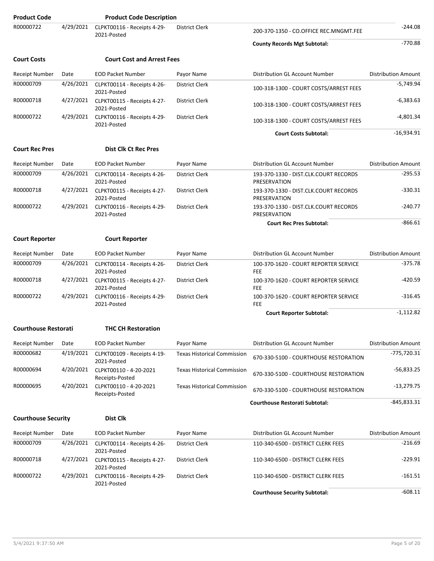| <b>Product Code</b>         |           | <b>Product Code Description</b>            |                                    |                                                       |                            |
|-----------------------------|-----------|--------------------------------------------|------------------------------------|-------------------------------------------------------|----------------------------|
| R00000722                   | 4/29/2021 | CLPKT00116 - Receipts 4-29-<br>2021-Posted | District Clerk                     | 200-370-1350 - CO.OFFICE REC.MNGMT.FEE                | -244.08                    |
|                             |           |                                            |                                    | <b>County Records Mgt Subtotal:</b>                   | $-770.88$                  |
| <b>Court Costs</b>          |           | <b>Court Cost and Arrest Fees</b>          |                                    |                                                       |                            |
| <b>Receipt Number</b>       | Date      | <b>EOD Packet Number</b>                   | Payor Name                         | Distribution GL Account Number                        | <b>Distribution Amount</b> |
| R00000709                   | 4/26/2021 | CLPKT00114 - Receipts 4-26-<br>2021-Posted | <b>District Clerk</b>              | 100-318-1300 - COURT COSTS/ARREST FEES                | $-5,749.94$                |
| R00000718                   | 4/27/2021 | CLPKT00115 - Receipts 4-27-<br>2021-Posted | District Clerk                     | 100-318-1300 - COURT COSTS/ARREST FEES                | $-6,383.63$                |
| R00000722                   | 4/29/2021 | CLPKT00116 - Receipts 4-29-<br>2021-Posted | District Clerk                     | 100-318-1300 - COURT COSTS/ARREST FEES                | $-4,801.34$                |
|                             |           |                                            |                                    | <b>Court Costs Subtotal:</b>                          | $-16,934.91$               |
| <b>Court Rec Pres</b>       |           | <b>Dist Clk Ct Rec Pres</b>                |                                    |                                                       |                            |
| <b>Receipt Number</b>       | Date      | <b>EOD Packet Number</b>                   | Payor Name                         | Distribution GL Account Number                        | <b>Distribution Amount</b> |
| R00000709                   | 4/26/2021 | CLPKT00114 - Receipts 4-26-<br>2021-Posted | District Clerk                     | 193-370-1330 - DIST.CLK.COURT RECORDS<br>PRESERVATION | $-295.53$                  |
| R00000718                   | 4/27/2021 | CLPKT00115 - Receipts 4-27-<br>2021-Posted | District Clerk                     | 193-370-1330 - DIST.CLK.COURT RECORDS<br>PRESERVATION | $-330.31$                  |
| R00000722                   | 4/29/2021 | CLPKT00116 - Receipts 4-29-<br>2021-Posted | <b>District Clerk</b>              | 193-370-1330 - DIST.CLK.COURT RECORDS<br>PRESERVATION | -240.77                    |
|                             |           |                                            |                                    | <b>Court Rec Pres Subtotal:</b>                       | $-866.61$                  |
| <b>Court Reporter</b>       |           | <b>Court Reporter</b>                      |                                    |                                                       |                            |
| <b>Receipt Number</b>       | Date      | <b>EOD Packet Number</b>                   | Payor Name                         | Distribution GL Account Number                        | <b>Distribution Amount</b> |
| R00000709                   | 4/26/2021 | CLPKT00114 - Receipts 4-26-<br>2021-Posted | District Clerk                     | 100-370-1620 - COURT REPORTER SERVICE<br><b>FEE</b>   | $-375.78$                  |
| R00000718                   | 4/27/2021 | CLPKT00115 - Receipts 4-27-<br>2021-Posted | District Clerk                     | 100-370-1620 - COURT REPORTER SERVICE<br><b>FEE</b>   | -420.59                    |
| R00000722                   | 4/29/2021 | CLPKT00116 - Receipts 4-29-<br>2021-Posted | District Clerk                     | 100-370-1620 - COURT REPORTER SERVICE<br><b>FEE</b>   | $-316.45$                  |
|                             |           |                                            |                                    | <b>Court Reporter Subtotal:</b>                       | $-1,112.82$                |
| <b>Courthouse Restorati</b> |           | <b>THC CH Restoration</b>                  |                                    |                                                       |                            |
| Receipt Number              | Date      | <b>EOD Packet Number</b>                   | Payor Name                         | Distribution GL Account Number                        | <b>Distribution Amount</b> |
| R00000682                   | 4/19/2021 | CLPKT00109 - Receipts 4-19-<br>2021-Posted | <b>Texas Historical Commission</b> | 670-330-5100 - COURTHOUSE RESTORATION                 | $-775,720.31$              |
| R00000694                   | 4/20/2021 | CLPKT00110 - 4-20-2021<br>Receipts-Posted  | <b>Texas Historical Commission</b> | 670-330-5100 - COURTHOUSE RESTORATION                 | -56,833.25                 |
| R00000695                   | 4/20/2021 | CLPKT00110 - 4-20-2021<br>Receipts-Posted  | <b>Texas Historical Commission</b> | 670-330-5100 - COURTHOUSE RESTORATION                 | $-13,279.75$               |
|                             |           |                                            |                                    | <b>Courthouse Restorati Subtotal:</b>                 | $-845,833.31$              |
| <b>Courthouse Security</b>  |           | <b>Dist Clk</b>                            |                                    |                                                       |                            |
| <b>Receipt Number</b>       | Date      | <b>EOD Packet Number</b>                   | Payor Name                         | Distribution GL Account Number                        | <b>Distribution Amount</b> |
| R00000709                   | 4/26/2021 | CLPKT00114 - Receipts 4-26-<br>2021-Posted | District Clerk                     | 110-340-6500 - DISTRICT CLERK FEES                    | $-216.69$                  |
| R00000718                   | 4/27/2021 | CLPKT00115 - Receipts 4-27-<br>2021-Posted | District Clerk                     | 110-340-6500 - DISTRICT CLERK FEES                    | $-229.91$                  |
| R00000722                   | 4/29/2021 | CLPKT00116 - Receipts 4-29-<br>2021-Posted | District Clerk                     | 110-340-6500 - DISTRICT CLERK FEES                    | $-161.51$                  |
|                             |           |                                            |                                    | <b>Courthouse Security Subtotal:</b>                  | $-608.11$                  |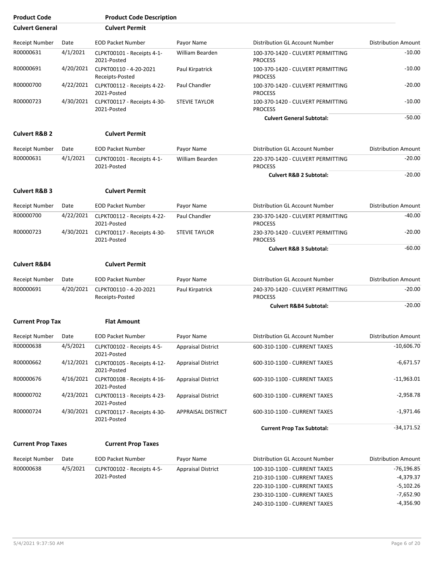| <b>Product Code</b>       |           | <b>Product Code Description</b>            |                           |                                                     |                            |
|---------------------------|-----------|--------------------------------------------|---------------------------|-----------------------------------------------------|----------------------------|
| <b>Culvert General</b>    |           | <b>Culvert Permit</b>                      |                           |                                                     |                            |
| Receipt Number            | Date      | <b>EOD Packet Number</b>                   | Payor Name                | Distribution GL Account Number                      | <b>Distribution Amount</b> |
| R00000631                 | 4/1/2021  | CLPKT00101 - Receipts 4-1-<br>2021-Posted  | William Bearden           | 100-370-1420 - CULVERT PERMITTING<br><b>PROCESS</b> | $-10.00$                   |
| R00000691                 | 4/20/2021 | CLPKT00110 - 4-20-2021<br>Receipts-Posted  | Paul Kirpatrick           | 100-370-1420 - CULVERT PERMITTING<br><b>PROCESS</b> | $-10.00$                   |
| R00000700                 | 4/22/2021 | CLPKT00112 - Receipts 4-22-<br>2021-Posted | Paul Chandler             | 100-370-1420 - CULVERT PERMITTING<br><b>PROCESS</b> | $-20.00$                   |
| R00000723                 | 4/30/2021 | CLPKT00117 - Receipts 4-30-<br>2021-Posted | <b>STEVIE TAYLOR</b>      | 100-370-1420 - CULVERT PERMITTING<br><b>PROCESS</b> | $-10.00$                   |
|                           |           |                                            |                           | <b>Culvert General Subtotal:</b>                    | $-50.00$                   |
| <b>Culvert R&amp;B 2</b>  |           | <b>Culvert Permit</b>                      |                           |                                                     |                            |
| Receipt Number            | Date      | <b>EOD Packet Number</b>                   | Payor Name                | Distribution GL Account Number                      | <b>Distribution Amount</b> |
| R00000631                 | 4/1/2021  | CLPKT00101 - Receipts 4-1-<br>2021-Posted  | William Bearden           | 220-370-1420 - CULVERT PERMITTING<br><b>PROCESS</b> | $-20.00$                   |
|                           |           |                                            |                           | <b>Culvert R&amp;B 2 Subtotal:</b>                  | $-20.00$                   |
| <b>Culvert R&amp;B 3</b>  |           | <b>Culvert Permit</b>                      |                           |                                                     |                            |
| <b>Receipt Number</b>     | Date      | <b>EOD Packet Number</b>                   | Payor Name                | Distribution GL Account Number                      | <b>Distribution Amount</b> |
| R00000700                 | 4/22/2021 | CLPKT00112 - Receipts 4-22-<br>2021-Posted | Paul Chandler             | 230-370-1420 - CULVERT PERMITTING<br><b>PROCESS</b> | $-40.00$                   |
| R00000723                 | 4/30/2021 | CLPKT00117 - Receipts 4-30-<br>2021-Posted | <b>STEVIE TAYLOR</b>      | 230-370-1420 - CULVERT PERMITTING<br><b>PROCESS</b> | $-20.00$                   |
|                           |           |                                            |                           | <b>Culvert R&amp;B 3 Subtotal:</b>                  | $-60.00$                   |
| <b>Culvert R&amp;B4</b>   |           | <b>Culvert Permit</b>                      |                           |                                                     |                            |
| Receipt Number            | Date      | <b>EOD Packet Number</b>                   | Payor Name                | Distribution GL Account Number                      | <b>Distribution Amount</b> |
| R00000691                 | 4/20/2021 | CLPKT00110 - 4-20-2021<br>Receipts-Posted  | Paul Kirpatrick           | 240-370-1420 - CULVERT PERMITTING<br><b>PROCESS</b> | $-20.00$                   |
|                           |           |                                            |                           | <b>Culvert R&amp;B4 Subtotal:</b>                   | $-20.00$                   |
| <b>Current Prop Tax</b>   |           | <b>Flat Amount</b>                         |                           |                                                     |                            |
| Receipt Number            | Date      | <b>EOD Packet Number</b>                   | Payor Name                | Distribution GL Account Number                      | <b>Distribution Amount</b> |
| R00000638                 | 4/5/2021  | CLPKT00102 - Receipts 4-5-<br>2021-Posted  | <b>Appraisal District</b> | 600-310-1100 - CURRENT TAXES                        | $-10,606.70$               |
| R00000662                 | 4/12/2021 | CLPKT00105 - Receipts 4-12-<br>2021-Posted | <b>Appraisal District</b> | 600-310-1100 - CURRENT TAXES                        | $-6,671.57$                |
| R00000676                 | 4/16/2021 | CLPKT00108 - Receipts 4-16-<br>2021-Posted | <b>Appraisal District</b> | 600-310-1100 - CURRENT TAXES                        | $-11,963.01$               |
| R00000702                 | 4/23/2021 | CLPKT00113 - Receipts 4-23-<br>2021-Posted | <b>Appraisal District</b> | 600-310-1100 - CURRENT TAXES                        | $-2,958.78$                |
| R00000724                 | 4/30/2021 | CLPKT00117 - Receipts 4-30-<br>2021-Posted | APPRAISAL DISTRICT        | 600-310-1100 - CURRENT TAXES                        | $-1,971.46$                |
|                           |           |                                            |                           | <b>Current Prop Tax Subtotal:</b>                   | $-34,171.52$               |
| <b>Current Prop Taxes</b> |           | <b>Current Prop Taxes</b>                  |                           |                                                     |                            |
| <b>Receipt Number</b>     | Date      | <b>EOD Packet Number</b>                   | Payor Name                | Distribution GL Account Number                      | <b>Distribution Amount</b> |
| R00000638                 | 4/5/2021  | CLPKT00102 - Receipts 4-5-                 | <b>Appraisal District</b> | 100-310-1100 - CURRENT TAXES                        | $-76,196.85$               |
|                           |           | 2021-Posted                                |                           | 210-310-1100 - CURRENT TAXES                        | -4,379.37                  |
|                           |           |                                            |                           | 220-310-1100 - CURRENT TAXES                        | $-5,102.26$                |
|                           |           |                                            |                           | 230-310-1100 - CURRENT TAXES                        | $-7,652.90$                |
|                           |           |                                            |                           | 240-310-1100 - CURRENT TAXES                        | $-4,356.90$                |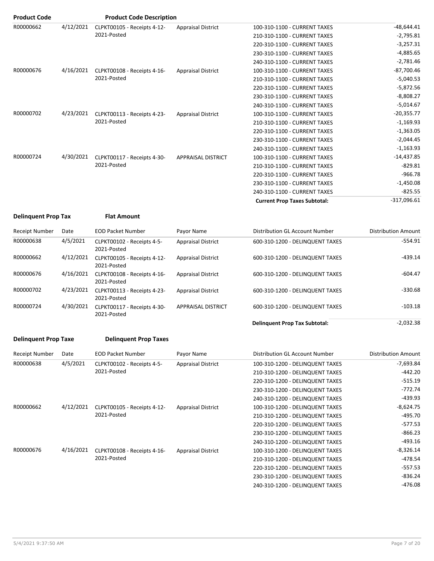| <b>Product Code</b> |           | <b>Product Code Description</b>            |                           |                                     |               |
|---------------------|-----------|--------------------------------------------|---------------------------|-------------------------------------|---------------|
| R00000662           | 4/12/2021 | CLPKT00105 - Receipts 4-12-                | <b>Appraisal District</b> | 100-310-1100 - CURRENT TAXES        | $-48,644.41$  |
|                     |           | 2021-Posted                                |                           | 210-310-1100 - CURRENT TAXES        | $-2,795.81$   |
|                     |           |                                            |                           | 220-310-1100 - CURRENT TAXES        | $-3,257.31$   |
|                     |           |                                            |                           | 230-310-1100 - CURRENT TAXES        | $-4,885.65$   |
|                     |           |                                            |                           | 240-310-1100 - CURRENT TAXES        | $-2,781.46$   |
| R00000676           | 4/16/2021 | CLPKT00108 - Receipts 4-16-                | <b>Appraisal District</b> | 100-310-1100 - CURRENT TAXES        | $-87,700.46$  |
|                     |           | 2021-Posted                                |                           | 210-310-1100 - CURRENT TAXES        | $-5,040.53$   |
|                     |           |                                            |                           | 220-310-1100 - CURRENT TAXES        | $-5,872.56$   |
|                     |           |                                            |                           | 230-310-1100 - CURRENT TAXES        | $-8,808.27$   |
|                     |           |                                            |                           | 240-310-1100 - CURRENT TAXES        | $-5,014.67$   |
| R00000702           | 4/23/2021 | CLPKT00113 - Receipts 4-23-<br>2021-Posted | <b>Appraisal District</b> | 100-310-1100 - CURRENT TAXES        | $-20,355.77$  |
|                     |           |                                            |                           | 210-310-1100 - CURRENT TAXES        | $-1,169.93$   |
|                     |           |                                            |                           | 220-310-1100 - CURRENT TAXES        | $-1,363.05$   |
|                     |           |                                            |                           | 230-310-1100 - CURRENT TAXES        | $-2,044.45$   |
|                     |           |                                            |                           | 240-310-1100 - CURRENT TAXES        | $-1,163.93$   |
| R00000724           | 4/30/2021 | CLPKT00117 - Receipts 4-30-                | <b>APPRAISAL DISTRICT</b> | 100-310-1100 - CURRENT TAXES        | $-14,437.85$  |
|                     |           | 2021-Posted                                |                           | 210-310-1100 - CURRENT TAXES        | $-829.81$     |
|                     |           |                                            |                           | 220-310-1100 - CURRENT TAXES        | $-966.78$     |
|                     |           |                                            |                           | 230-310-1100 - CURRENT TAXES        | $-1,450.08$   |
|                     |           |                                            |                           | 240-310-1100 - CURRENT TAXES        | $-825.55$     |
|                     |           |                                            |                           | <b>Current Prop Taxes Subtotal:</b> | $-317,096.61$ |

#### **Delinquent Prop Tax Flat Amount**

|  | Flat Amount |  |
|--|-------------|--|
|--|-------------|--|

| <b>Receipt Number</b> | Date      | <b>EOD Packet Number</b>                   | Payor Name                | Distribution GL Account Number       | <b>Distribution Amount</b> |
|-----------------------|-----------|--------------------------------------------|---------------------------|--------------------------------------|----------------------------|
| R00000638             | 4/5/2021  | CLPKT00102 - Receipts 4-5-<br>2021-Posted  | <b>Appraisal District</b> | 600-310-1200 - DELINQUENT TAXES      | $-554.91$                  |
| R00000662             | 4/12/2021 | CLPKT00105 - Receipts 4-12-<br>2021-Posted | <b>Appraisal District</b> | 600-310-1200 - DELINQUENT TAXES      | $-439.14$                  |
| R00000676             | 4/16/2021 | CLPKT00108 - Receipts 4-16-<br>2021-Posted | <b>Appraisal District</b> | 600-310-1200 - DELINQUENT TAXES      | $-604.47$                  |
| R00000702             | 4/23/2021 | CLPKT00113 - Receipts 4-23-<br>2021-Posted | <b>Appraisal District</b> | 600-310-1200 - DELINQUENT TAXES      | $-330.68$                  |
| R00000724             | 4/30/2021 | CLPKT00117 - Receipts 4-30-<br>2021-Posted | <b>APPRAISAL DISTRICT</b> | 600-310-1200 - DELINQUENT TAXES      | $-103.18$                  |
|                       |           |                                            |                           | <b>Delinquent Prop Tax Subtotal:</b> | $-2.032.38$                |

#### **Delinquent Prop Taxe Delinquent Prop Taxes**

| Receipt Number | Date      | <b>EOD Packet Number</b>                   | Payor Name                | Distribution GL Account Number  | Distribution Amount |
|----------------|-----------|--------------------------------------------|---------------------------|---------------------------------|---------------------|
| R00000638      | 4/5/2021  | CLPKT00102 - Receipts 4-5-                 | <b>Appraisal District</b> | 100-310-1200 - DELINQUENT TAXES | -7,693.84           |
|                |           | 2021-Posted                                |                           | 210-310-1200 - DELINQUENT TAXES | $-442.20$           |
|                |           |                                            |                           | 220-310-1200 - DELINQUENT TAXES | $-515.19$           |
|                |           |                                            |                           | 230-310-1200 - DELINQUENT TAXES | $-772.74$           |
|                |           |                                            |                           | 240-310-1200 - DELINQUENT TAXES | -439.93             |
| R00000662      | 4/12/2021 | CLPKT00105 - Receipts 4-12-<br>2021-Posted | <b>Appraisal District</b> | 100-310-1200 - DELINQUENT TAXES | -8,624.75           |
|                |           |                                            |                           | 210-310-1200 - DELINQUENT TAXES | -495.70             |
|                |           |                                            |                           | 220-310-1200 - DELINQUENT TAXES | $-577.53$           |
|                |           |                                            |                           | 230-310-1200 - DELINQUENT TAXES | $-866.23$           |
|                |           |                                            |                           | 240-310-1200 - DELINQUENT TAXES | $-493.16$           |
| R00000676      | 4/16/2021 | CLPKT00108 - Receipts 4-16-                | <b>Appraisal District</b> | 100-310-1200 - DELINQUENT TAXES | $-8,326.14$         |
|                |           | 2021-Posted                                |                           | 210-310-1200 - DELINQUENT TAXES | -478.54             |
|                |           |                                            |                           | 220-310-1200 - DELINQUENT TAXES | $-557.53$           |
|                |           |                                            |                           | 230-310-1200 - DELINQUENT TAXES | $-836.24$           |
|                |           |                                            |                           | 240-310-1200 - DELINQUENT TAXES | -476.08             |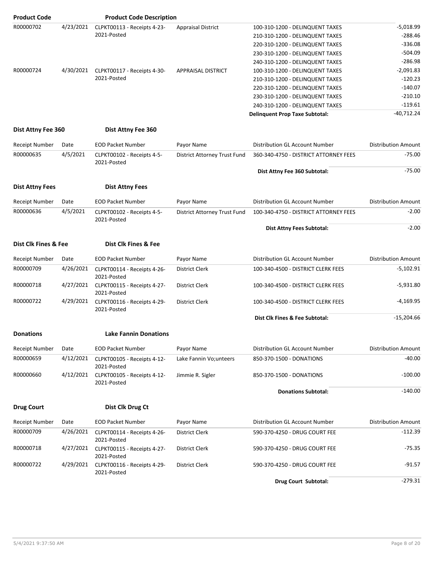| <b>Product Code</b>    |           | <b>Product Code Description</b>            |                              |                                       |                            |
|------------------------|-----------|--------------------------------------------|------------------------------|---------------------------------------|----------------------------|
| R00000702              | 4/23/2021 | CLPKT00113 - Receipts 4-23-                | <b>Appraisal District</b>    | 100-310-1200 - DELINQUENT TAXES       | $-5,018.99$                |
|                        |           | 2021-Posted                                |                              | 210-310-1200 - DELINQUENT TAXES       | $-288.46$                  |
|                        |           |                                            |                              | 220-310-1200 - DELINQUENT TAXES       | $-336.08$                  |
|                        |           |                                            |                              | 230-310-1200 - DELINQUENT TAXES       | $-504.09$                  |
|                        |           |                                            |                              | 240-310-1200 - DELINQUENT TAXES       | $-286.98$                  |
| R00000724              | 4/30/2021 | CLPKT00117 - Receipts 4-30-                | <b>APPRAISAL DISTRICT</b>    | 100-310-1200 - DELINQUENT TAXES       | $-2,091.83$                |
|                        |           | 2021-Posted                                |                              | 210-310-1200 - DELINQUENT TAXES       | $-120.23$                  |
|                        |           |                                            |                              | 220-310-1200 - DELINQUENT TAXES       | $-140.07$                  |
|                        |           |                                            |                              | 230-310-1200 - DELINQUENT TAXES       | $-210.10$                  |
|                        |           |                                            |                              | 240-310-1200 - DELINQUENT TAXES       | $-119.61$                  |
|                        |           |                                            |                              | <b>Delinquent Prop Taxe Subtotal:</b> | $-40,712.24$               |
| Dist Attny Fee 360     |           | Dist Attny Fee 360                         |                              |                                       |                            |
| <b>Receipt Number</b>  | Date      | <b>EOD Packet Number</b>                   | Payor Name                   | Distribution GL Account Number        | <b>Distribution Amount</b> |
| R00000635              | 4/5/2021  | CLPKT00102 - Receipts 4-5-                 | District Attorney Trust Fund | 360-340-4750 - DISTRICT ATTORNEY FEES | $-75.00$                   |
|                        |           | 2021-Posted                                |                              | Dist Attny Fee 360 Subtotal:          | $-75.00$                   |
|                        |           |                                            |                              |                                       |                            |
| <b>Dist Attny Fees</b> |           | <b>Dist Attny Fees</b>                     |                              |                                       |                            |
| <b>Receipt Number</b>  | Date      | <b>EOD Packet Number</b>                   | Payor Name                   | Distribution GL Account Number        | <b>Distribution Amount</b> |
| R00000636              | 4/5/2021  | CLPKT00102 - Receipts 4-5-<br>2021-Posted  | District Attorney Trust Fund | 100-340-4750 - DISTRICT ATTORNEY FEES | $-2.00$                    |
|                        |           |                                            |                              | Dist Attny Fees Subtotal:             | $-2.00$                    |
| Dist Clk Fines & Fee   |           | Dist Clk Fines & Fee                       |                              |                                       |                            |
| <b>Receipt Number</b>  | Date      | <b>EOD Packet Number</b>                   | Payor Name                   | Distribution GL Account Number        | <b>Distribution Amount</b> |
| R00000709              | 4/26/2021 | CLPKT00114 - Receipts 4-26-<br>2021-Posted | <b>District Clerk</b>        | 100-340-4500 - DISTRICT CLERK FEES    | $-5,102.91$                |
| R00000718              | 4/27/2021 | CLPKT00115 - Receipts 4-27-<br>2021-Posted | District Clerk               | 100-340-4500 - DISTRICT CLERK FEES    | $-5,931.80$                |
| R00000722              | 4/29/2021 | CLPKT00116 - Receipts 4-29-<br>2021-Posted | District Clerk               | 100-340-4500 - DISTRICT CLERK FEES    | $-4,169.95$                |
|                        |           |                                            |                              | Dist Clk Fines & Fee Subtotal:        | $-15,204.66$               |
| <b>Donations</b>       |           | <b>Lake Fannin Donations</b>               |                              |                                       |                            |
| Receipt Number         | Date      | <b>EOD Packet Number</b>                   | Payor Name                   | Distribution GL Account Number        | <b>Distribution Amount</b> |
| R00000659              | 4/12/2021 | CLPKT00105 - Receipts 4-12-<br>2021-Posted | Lake Fannin Vo; unteers      | 850-370-1500 - DONATIONS              | $-40.00$                   |
| R00000660              | 4/12/2021 | CLPKT00105 - Receipts 4-12-<br>2021-Posted | Jimmie R. Sigler             | 850-370-1500 - DONATIONS              | $-100.00$                  |
|                        |           |                                            |                              | <b>Donations Subtotal:</b>            | $-140.00$                  |
| <b>Drug Court</b>      |           | Dist Clk Drug Ct                           |                              |                                       |                            |
| Receipt Number         | Date      | <b>EOD Packet Number</b>                   | Payor Name                   | Distribution GL Account Number        | <b>Distribution Amount</b> |
| R00000709              | 4/26/2021 | CLPKT00114 - Receipts 4-26-<br>2021-Posted | District Clerk               | 590-370-4250 - DRUG COURT FEE         | -112.39                    |
| R00000718              | 4/27/2021 | CLPKT00115 - Receipts 4-27-<br>2021-Posted | District Clerk               | 590-370-4250 - DRUG COURT FEE         | $-75.35$                   |
| R00000722              | 4/29/2021 | CLPKT00116 - Receipts 4-29-<br>2021-Posted | District Clerk               | 590-370-4250 - DRUG COURT FEE         | $-91.57$                   |
|                        |           |                                            |                              | Drug Court Subtotal:                  | $-279.31$                  |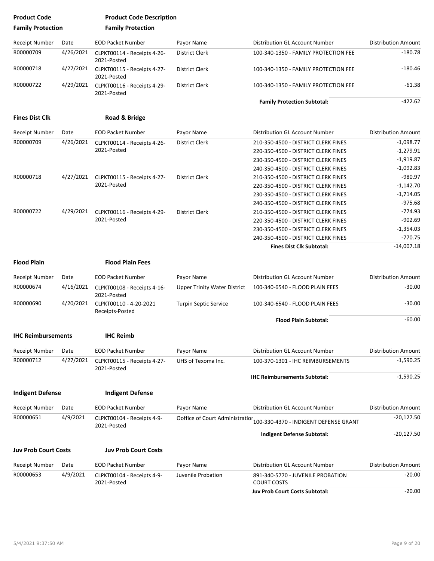| <b>Product Code</b>         |           | <b>Product Code Description</b>            |                                     |                                                         |                            |
|-----------------------------|-----------|--------------------------------------------|-------------------------------------|---------------------------------------------------------|----------------------------|
| <b>Family Protection</b>    |           | <b>Family Protection</b>                   |                                     |                                                         |                            |
| <b>Receipt Number</b>       | Date      | <b>EOD Packet Number</b>                   | Payor Name                          | Distribution GL Account Number                          | <b>Distribution Amount</b> |
| R00000709                   | 4/26/2021 | CLPKT00114 - Receipts 4-26-<br>2021-Posted | District Clerk                      | 100-340-1350 - FAMILY PROTECTION FEE                    | $-180.78$                  |
| R00000718                   | 4/27/2021 | CLPKT00115 - Receipts 4-27-<br>2021-Posted | <b>District Clerk</b>               | 100-340-1350 - FAMILY PROTECTION FEE                    | $-180.46$                  |
| R00000722                   | 4/29/2021 | CLPKT00116 - Receipts 4-29-<br>2021-Posted | <b>District Clerk</b>               | 100-340-1350 - FAMILY PROTECTION FEE                    | $-61.38$                   |
|                             |           |                                            |                                     | <b>Family Protection Subtotal:</b>                      | $-422.62$                  |
| <b>Fines Dist Clk</b>       |           | Road & Bridge                              |                                     |                                                         |                            |
| <b>Receipt Number</b>       | Date      | <b>EOD Packet Number</b>                   | Payor Name                          | Distribution GL Account Number                          | <b>Distribution Amount</b> |
| R00000709                   | 4/26/2021 | CLPKT00114 - Receipts 4-26-                | District Clerk                      | 210-350-4500 - DISTRICT CLERK FINES                     | $-1,098.77$                |
|                             |           | 2021-Posted                                |                                     | 220-350-4500 - DISTRICT CLERK FINES                     | $-1,279.91$                |
|                             |           |                                            |                                     | 230-350-4500 - DISTRICT CLERK FINES                     | $-1,919.87$                |
|                             |           |                                            |                                     | 240-350-4500 - DISTRICT CLERK FINES                     | $-1,092.83$                |
| R00000718                   | 4/27/2021 | CLPKT00115 - Receipts 4-27-                | <b>District Clerk</b>               | 210-350-4500 - DISTRICT CLERK FINES                     | $-980.97$                  |
|                             |           | 2021-Posted                                |                                     | 220-350-4500 - DISTRICT CLERK FINES                     | $-1,142.70$                |
|                             |           |                                            |                                     | 230-350-4500 - DISTRICT CLERK FINES                     | $-1,714.05$                |
|                             |           |                                            |                                     | 240-350-4500 - DISTRICT CLERK FINES                     | $-975.68$                  |
| R00000722                   | 4/29/2021 | CLPKT00116 - Receipts 4-29-                | <b>District Clerk</b>               | 210-350-4500 - DISTRICT CLERK FINES                     | $-774.93$                  |
|                             |           | 2021-Posted                                |                                     | 220-350-4500 - DISTRICT CLERK FINES                     | $-902.69$                  |
|                             |           |                                            |                                     | 230-350-4500 - DISTRICT CLERK FINES                     | $-1,354.03$                |
|                             |           |                                            |                                     | 240-350-4500 - DISTRICT CLERK FINES                     | $-770.75$                  |
|                             |           |                                            |                                     | <b>Fines Dist Clk Subtotal:</b>                         | $-14,007.18$               |
| <b>Flood Plain</b>          |           | <b>Flood Plain Fees</b>                    |                                     |                                                         |                            |
| <b>Receipt Number</b>       | Date      | <b>EOD Packet Number</b>                   | Payor Name                          | Distribution GL Account Number                          | <b>Distribution Amount</b> |
| R00000674                   | 4/16/2021 | CLPKT00108 - Receipts 4-16-<br>2021-Posted | <b>Upper Trinity Water District</b> | 100-340-6540 - FLOOD PLAIN FEES                         | $-30.00$                   |
| R00000690                   | 4/20/2021 | CLPKT00110 - 4-20-2021<br>Receipts-Posted  | Turpin Septic Service               | 100-340-6540 - FLOOD PLAIN FEES                         | $-30.00$                   |
|                             |           |                                            |                                     | <b>Flood Plain Subtotal:</b>                            | $-60.00$                   |
| <b>IHC Reimbursements</b>   |           | <b>IHC Reimb</b>                           |                                     |                                                         |                            |
| <b>Receipt Number</b>       | Date      | <b>EOD Packet Number</b>                   | Payor Name                          | Distribution GL Account Number                          | <b>Distribution Amount</b> |
| R00000712                   | 4/27/2021 | CLPKT00115 - Receipts 4-27-<br>2021-Posted | UHS of Texoma Inc.                  | 100-370-1301 - IHC REIMBURSEMENTS                       | $-1,590.25$                |
|                             |           |                                            |                                     | <b>IHC Reimbursements Subtotal:</b>                     | $-1,590.25$                |
| <b>Indigent Defense</b>     |           | <b>Indigent Defense</b>                    |                                     |                                                         |                            |
| Receipt Number              | Date      | <b>EOD Packet Number</b>                   | Payor Name                          | Distribution GL Account Number                          | <b>Distribution Amount</b> |
| R00000651                   | 4/9/2021  | CLPKT00104 - Receipts 4-9-<br>2021-Posted  | Ooffice of Court Administration     | 100-330-4370 - INDIGENT DEFENSE GRANT                   | $-20,127.50$               |
|                             |           |                                            |                                     | Indigent Defense Subtotal:                              | -20,127.50                 |
| <b>Juv Prob Court Costs</b> |           | <b>Juv Prob Court Costs</b>                |                                     |                                                         |                            |
|                             |           |                                            |                                     |                                                         |                            |
| Receipt Number              | Date      | <b>EOD Packet Number</b>                   | Payor Name                          | Distribution GL Account Number                          | <b>Distribution Amount</b> |
| R00000653                   | 4/9/2021  | CLPKT00104 - Receipts 4-9-<br>2021-Posted  | Juvenile Probation                  | 891-340-5770 - JUVENILE PROBATION<br><b>COURT COSTS</b> | $-20.00$                   |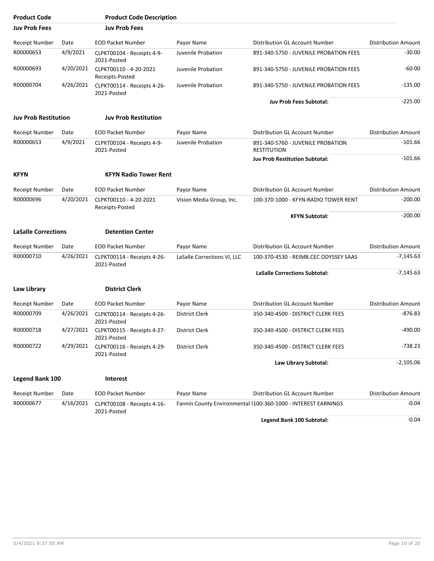| <b>Product Code</b>         |           | <b>Product Code Description</b>                      |                             |                                                               |                            |
|-----------------------------|-----------|------------------------------------------------------|-----------------------------|---------------------------------------------------------------|----------------------------|
| <b>Juv Prob Fees</b>        |           | <b>Juv Prob Fees</b>                                 |                             |                                                               |                            |
| Receipt Number              | Date      | <b>EOD Packet Number</b>                             | Payor Name                  | Distribution GL Account Number                                | <b>Distribution Amount</b> |
| R00000653                   | 4/9/2021  | CLPKT00104 - Receipts 4-9-<br>2021-Posted            | Juvenile Probation          | 891-340-5750 - JUVENILE PROBATION FEES                        | $-30.00$                   |
| R00000693                   | 4/20/2021 | CLPKT00110 - 4-20-2021<br>Receipts-Posted            | Juvenile Probation          | 891-340-5750 - JUVENILE PROBATION FEES                        | $-60.00$                   |
| R00000704                   | 4/26/2021 | CLPKT00114 - Receipts 4-26-<br>2021-Posted           | Juvenile Probation          | 891-340-5750 - JUVENILE PROBATION FEES                        | $-135.00$                  |
|                             |           |                                                      |                             | <b>Juv Prob Fees Subtotal:</b>                                | $-225.00$                  |
| <b>Juv Prob Restitution</b> |           | <b>Juv Prob Restitution</b>                          |                             |                                                               |                            |
| Receipt Number              | Date      | <b>EOD Packet Number</b>                             | Payor Name                  | Distribution GL Account Number                                | <b>Distribution Amount</b> |
| R00000653                   | 4/9/2021  | CLPKT00104 - Receipts 4-9-<br>2021-Posted            | Juvenile Probation          | 891-340-5760 - JUVENILE PROBATION<br><b>RESTITUTION</b>       | $-101.66$                  |
|                             |           |                                                      |                             | <b>Juv Prob Restitution Subtotal:</b>                         | $-101.66$                  |
| <b>KFYN</b>                 |           | <b>KFYN Radio Tower Rent</b>                         |                             |                                                               |                            |
| Receipt Number              | Date      | <b>EOD Packet Number</b>                             | Payor Name                  | Distribution GL Account Number                                | <b>Distribution Amount</b> |
| R00000696                   | 4/20/2021 | CLPKT00110 - 4-20-2021<br>Receipts-Posted            | Vision Media Group, Inc.    | 100-370-1000 - KFYN-RADIO TOWER RENT                          | $-200.00$                  |
|                             |           |                                                      |                             | <b>KFYN Subtotal:</b>                                         | $-200.00$                  |
| <b>LaSalle Corrections</b>  |           | <b>Detention Center</b>                              |                             |                                                               |                            |
| <b>Receipt Number</b>       | Date      | <b>EOD Packet Number</b>                             | Payor Name                  | Distribution GL Account Number                                | <b>Distribution Amount</b> |
| R00000710                   | 4/26/2021 | CLPKT00114 - Receipts 4-26-<br>2021-Posted           | LaSalle Corrections VI, LLC | 100-370-4530 - REIMB.CEC ODYSSEY SAAS                         | $-7,145.63$                |
|                             |           |                                                      |                             | <b>LaSalle Corrections Subtotal:</b>                          | $-7,145.63$                |
| Law Library                 |           | <b>District Clerk</b>                                |                             |                                                               |                            |
| <b>Receipt Number</b>       | Date      | <b>EOD Packet Number</b>                             | Payor Name                  | Distribution GL Account Number                                | <b>Distribution Amount</b> |
| R00000709                   | 4/26/2021 | CLPKT00114 - Receipts 4-26-<br>2021-Posted           | District Clerk              | 350-340-4500 - DISTRICT CLERK FEES                            | $-876.83$                  |
| R00000718                   |           | 4/27/2021 CLPKT00115 - Receipts 4-27-<br>2021-Posted | <b>District Clerk</b>       | 350-340-4500 - DISTRICT CLERK FEES                            | $-490.00$                  |
| R00000722                   | 4/29/2021 | CLPKT00116 - Receipts 4-29-<br>2021-Posted           | District Clerk              | 350-340-4500 - DISTRICT CLERK FEES                            | -738.23                    |
|                             |           |                                                      |                             | Law Library Subtotal:                                         | $-2,105.06$                |
| Legend Bank 100             |           | Interest                                             |                             |                                                               |                            |
| Receipt Number              | Date      | <b>EOD Packet Number</b>                             | Payor Name                  | Distribution GL Account Number                                | <b>Distribution Amount</b> |
| R00000677                   | 4/16/2021 | CLPKT00108 - Receipts 4-16-<br>2021-Posted           |                             | Fannin County Environmental I100-360-1000 - INTEREST EARNINGS | -0.04                      |
|                             |           |                                                      |                             | Legend Bank 100 Subtotal:                                     | $-0.04$                    |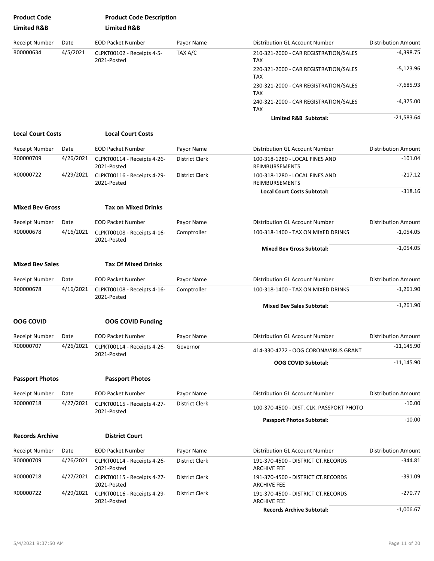| <b>Product Code</b>      |           | <b>Product Code Description</b>            |                       |                                                          |                            |
|--------------------------|-----------|--------------------------------------------|-----------------------|----------------------------------------------------------|----------------------------|
| <b>Limited R&amp;B</b>   |           | <b>Limited R&amp;B</b>                     |                       |                                                          |                            |
| <b>Receipt Number</b>    | Date      | <b>EOD Packet Number</b>                   | Payor Name            | Distribution GL Account Number                           | <b>Distribution Amount</b> |
| R00000634                | 4/5/2021  | CLPKT00102 - Receipts 4-5-<br>2021-Posted  | TAX A/C               | 210-321-2000 - CAR REGISTRATION/SALES<br><b>TAX</b>      | $-4,398.75$                |
|                          |           |                                            |                       | 220-321-2000 - CAR REGISTRATION/SALES<br><b>TAX</b>      | $-5,123.96$                |
|                          |           |                                            |                       | 230-321-2000 - CAR REGISTRATION/SALES<br><b>TAX</b>      | $-7,685.93$                |
|                          |           |                                            |                       | 240-321-2000 - CAR REGISTRATION/SALES<br><b>TAX</b>      | $-4,375.00$                |
|                          |           |                                            |                       | Limited R&B Subtotal:                                    | $-21,583.64$               |
| <b>Local Court Costs</b> |           | <b>Local Court Costs</b>                   |                       |                                                          |                            |
| Receipt Number           | Date      | <b>EOD Packet Number</b>                   | Payor Name            | Distribution GL Account Number                           | <b>Distribution Amount</b> |
| R00000709                | 4/26/2021 | CLPKT00114 - Receipts 4-26-<br>2021-Posted | District Clerk        | 100-318-1280 - LOCAL FINES AND<br><b>REIMBURSEMENTS</b>  | $-101.04$                  |
| R00000722                | 4/29/2021 | CLPKT00116 - Receipts 4-29-<br>2021-Posted | <b>District Clerk</b> | 100-318-1280 - LOCAL FINES AND<br><b>REIMBURSEMENTS</b>  | $-217.12$                  |
|                          |           |                                            |                       | <b>Local Court Costs Subtotal:</b>                       | $-318.16$                  |
| <b>Mixed Bev Gross</b>   |           | <b>Tax on Mixed Drinks</b>                 |                       |                                                          |                            |
| <b>Receipt Number</b>    | Date      | <b>EOD Packet Number</b>                   | Payor Name            | Distribution GL Account Number                           | <b>Distribution Amount</b> |
| R00000678                | 4/16/2021 | CLPKT00108 - Receipts 4-16-<br>2021-Posted | Comptroller           | 100-318-1400 - TAX ON MIXED DRINKS                       | $-1,054.05$                |
|                          |           |                                            |                       | <b>Mixed Bev Gross Subtotal:</b>                         | $-1,054.05$                |
| <b>Mixed Bev Sales</b>   |           | <b>Tax Of Mixed Drinks</b>                 |                       |                                                          |                            |
| <b>Receipt Number</b>    | Date      | <b>EOD Packet Number</b>                   | Payor Name            | Distribution GL Account Number                           | <b>Distribution Amount</b> |
| R00000678                | 4/16/2021 | CLPKT00108 - Receipts 4-16-<br>2021-Posted | Comptroller           | 100-318-1400 - TAX ON MIXED DRINKS                       | $-1,261.90$                |
|                          |           |                                            |                       | <b>Mixed Bev Sales Subtotal:</b>                         | $-1,261.90$                |
| <b>OOG COVID</b>         |           | <b>OOG COVID Funding</b>                   |                       |                                                          |                            |
| <b>Receipt Number</b>    | Date      | <b>EOD Packet Number</b>                   | Payor Name            | Distribution GL Account Number                           | <b>Distribution Amount</b> |
| R00000707                | 4/26/2021 | CLPKT00114 - Receipts 4-26-<br>2021-Posted | Governor              | 414-330-4772 - OOG CORONAVIRUS GRANT                     | -11,145.90                 |
|                          |           |                                            |                       | <b>OOG COVID Subtotal:</b>                               | $-11,145.90$               |
| <b>Passport Photos</b>   |           | <b>Passport Photos</b>                     |                       |                                                          |                            |
| <b>Receipt Number</b>    | Date      | <b>EOD Packet Number</b>                   | Payor Name            | Distribution GL Account Number                           | <b>Distribution Amount</b> |
| R00000718                | 4/27/2021 | CLPKT00115 - Receipts 4-27-<br>2021-Posted | District Clerk        | 100-370-4500 - DIST. CLK. PASSPORT PHOTO                 | $-10.00$                   |
|                          |           |                                            |                       | <b>Passport Photos Subtotal:</b>                         | $-10.00$                   |
| <b>Records Archive</b>   |           | <b>District Court</b>                      |                       |                                                          |                            |
| <b>Receipt Number</b>    | Date      | <b>EOD Packet Number</b>                   | Payor Name            | Distribution GL Account Number                           | <b>Distribution Amount</b> |
| R00000709                | 4/26/2021 | CLPKT00114 - Receipts 4-26-<br>2021-Posted | District Clerk        | 191-370-4500 - DISTRICT CT.RECORDS<br><b>ARCHIVE FEE</b> | $-344.81$                  |
| R00000718                | 4/27/2021 | CLPKT00115 - Receipts 4-27-<br>2021-Posted | District Clerk        | 191-370-4500 - DISTRICT CT.RECORDS<br><b>ARCHIVE FEE</b> | -391.09                    |
| R00000722                | 4/29/2021 | CLPKT00116 - Receipts 4-29-<br>2021-Posted | District Clerk        | 191-370-4500 - DISTRICT CT.RECORDS<br><b>ARCHIVE FEE</b> | $-270.77$                  |
|                          |           |                                            |                       | <b>Records Archive Subtotal:</b>                         | $-1,006.67$                |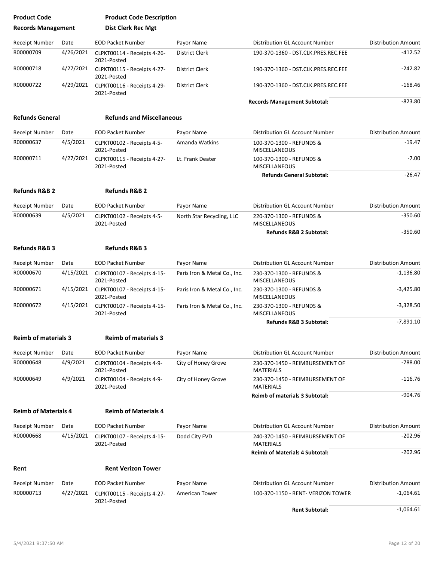| <b>Product Code</b>         |           | <b>Product Code Description</b>            |                              |                                                     |                            |
|-----------------------------|-----------|--------------------------------------------|------------------------------|-----------------------------------------------------|----------------------------|
| <b>Records Management</b>   |           | <b>Dist Clerk Rec Mgt</b>                  |                              |                                                     |                            |
| <b>Receipt Number</b>       | Date      | <b>EOD Packet Number</b>                   | Payor Name                   | Distribution GL Account Number                      | <b>Distribution Amount</b> |
| R00000709                   | 4/26/2021 | CLPKT00114 - Receipts 4-26-<br>2021-Posted | District Clerk               | 190-370-1360 - DST.CLK.PRES.REC.FEE                 | $-412.52$                  |
| R00000718                   | 4/27/2021 | CLPKT00115 - Receipts 4-27-<br>2021-Posted | <b>District Clerk</b>        | 190-370-1360 - DST.CLK.PRES.REC.FEE                 | -242.82                    |
| R00000722                   | 4/29/2021 | CLPKT00116 - Receipts 4-29-<br>2021-Posted | <b>District Clerk</b>        | 190-370-1360 - DST.CLK.PRES.REC.FEE                 | $-168.46$                  |
|                             |           |                                            |                              | <b>Records Management Subtotal:</b>                 | $-823.80$                  |
| <b>Refunds General</b>      |           | <b>Refunds and Miscellaneous</b>           |                              |                                                     |                            |
| <b>Receipt Number</b>       | Date      | <b>EOD Packet Number</b>                   | Payor Name                   | Distribution GL Account Number                      | <b>Distribution Amount</b> |
| R00000637                   | 4/5/2021  | CLPKT00102 - Receipts 4-5-<br>2021-Posted  | Amanda Watkins               | 100-370-1300 - REFUNDS &<br><b>MISCELLANEOUS</b>    | $-19.47$                   |
| R00000711                   | 4/27/2021 | CLPKT00115 - Receipts 4-27-<br>2021-Posted | Lt. Frank Deater             | 100-370-1300 - REFUNDS &<br>MISCELLANEOUS           | $-7.00$                    |
|                             |           |                                            |                              | <b>Refunds General Subtotal:</b>                    | $-26.47$                   |
| <b>Refunds R&amp;B 2</b>    |           | <b>Refunds R&amp;B 2</b>                   |                              |                                                     |                            |
| <b>Receipt Number</b>       | Date      | <b>EOD Packet Number</b>                   | Payor Name                   | Distribution GL Account Number                      | <b>Distribution Amount</b> |
| R00000639                   | 4/5/2021  | CLPKT00102 - Receipts 4-5-<br>2021-Posted  | North Star Recycling, LLC    | 220-370-1300 - REFUNDS &<br>MISCELLANEOUS           | $-350.60$                  |
|                             |           |                                            |                              | Refunds R&B 2 Subtotal:                             | $-350.60$                  |
| Refunds R&B 3               |           | <b>Refunds R&amp;B 3</b>                   |                              |                                                     |                            |
| <b>Receipt Number</b>       | Date      | <b>EOD Packet Number</b>                   | Payor Name                   | Distribution GL Account Number                      | <b>Distribution Amount</b> |
| R00000670                   | 4/15/2021 | CLPKT00107 - Receipts 4-15-<br>2021-Posted | Paris Iron & Metal Co., Inc. | 230-370-1300 - REFUNDS &<br><b>MISCELLANEOUS</b>    | $-1,136.80$                |
| R00000671                   | 4/15/2021 | CLPKT00107 - Receipts 4-15-<br>2021-Posted | Paris Iron & Metal Co., Inc. | 230-370-1300 - REFUNDS &<br><b>MISCELLANEOUS</b>    | $-3,425.80$                |
| R00000672                   | 4/15/2021 | CLPKT00107 - Receipts 4-15-<br>2021-Posted | Paris Iron & Metal Co., Inc. | 230-370-1300 - REFUNDS &<br><b>MISCELLANEOUS</b>    | $-3,328.50$                |
|                             |           |                                            |                              | <b>Refunds R&amp;B 3 Subtotal:</b>                  | $-7,891.10$                |
| <b>Reimb of materials 3</b> |           | <b>Reimb of materials 3</b>                |                              |                                                     |                            |
| Receipt Number              | Date      | <b>EOD Packet Number</b>                   | Payor Name                   | Distribution GL Account Number                      | <b>Distribution Amount</b> |
| R00000648                   | 4/9/2021  | CLPKT00104 - Receipts 4-9-<br>2021-Posted  | City of Honey Grove          | 230-370-1450 - REIMBURSEMENT OF<br><b>MATERIALS</b> | $-788.00$                  |
| R00000649                   | 4/9/2021  | CLPKT00104 - Receipts 4-9-<br>2021-Posted  | City of Honey Grove          | 230-370-1450 - REIMBURSEMENT OF<br><b>MATERIALS</b> | $-116.76$                  |
|                             |           |                                            |                              | <b>Reimb of materials 3 Subtotal:</b>               | $-904.76$                  |
| <b>Reimb of Materials 4</b> |           | <b>Reimb of Materials 4</b>                |                              |                                                     |                            |
| Receipt Number              | Date      | <b>EOD Packet Number</b>                   | Payor Name                   | Distribution GL Account Number                      | <b>Distribution Amount</b> |
| R00000668                   | 4/15/2021 | CLPKT00107 - Receipts 4-15-<br>2021-Posted | Dodd City FVD                | 240-370-1450 - REIMBURSEMENT OF<br><b>MATERIALS</b> | $-202.96$                  |
|                             |           |                                            |                              | <b>Reimb of Materials 4 Subtotal:</b>               | $-202.96$                  |
| Rent                        |           | <b>Rent Verizon Tower</b>                  |                              |                                                     |                            |
| Receipt Number              | Date      | <b>EOD Packet Number</b>                   | Payor Name                   | Distribution GL Account Number                      | <b>Distribution Amount</b> |
| R00000713                   | 4/27/2021 | CLPKT00115 - Receipts 4-27-<br>2021-Posted | American Tower               | 100-370-1150 - RENT- VERIZON TOWER                  | $-1,064.61$                |
|                             |           |                                            |                              | <b>Rent Subtotal:</b>                               | $-1,064.61$                |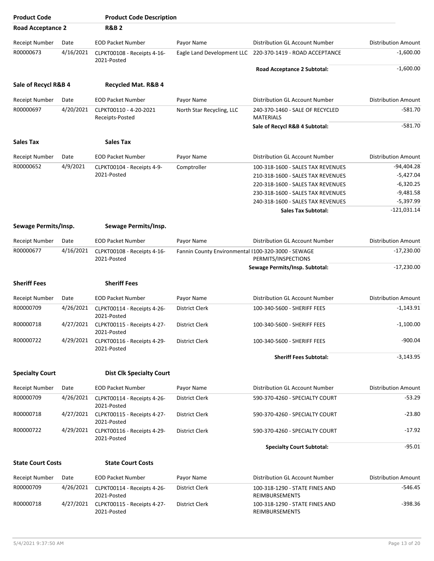| <b>Product Code</b>      |           | <b>Product Code Description</b>            |                                                    |                                                           |                            |
|--------------------------|-----------|--------------------------------------------|----------------------------------------------------|-----------------------------------------------------------|----------------------------|
| <b>Road Acceptance 2</b> |           | <b>R&amp;B2</b>                            |                                                    |                                                           |                            |
| Receipt Number           | Date      | <b>EOD Packet Number</b>                   | Payor Name                                         | Distribution GL Account Number                            | <b>Distribution Amount</b> |
| R00000673                | 4/16/2021 | CLPKT00108 - Receipts 4-16-<br>2021-Posted |                                                    | Eagle Land Development LLC 220-370-1419 - ROAD ACCEPTANCE | $-1,600.00$                |
|                          |           |                                            |                                                    | <b>Road Acceptance 2 Subtotal:</b>                        | $-1,600.00$                |
| Sale of Recycl R&B 4     |           | Recycled Mat. R&B 4                        |                                                    |                                                           |                            |
| Receipt Number           | Date      | <b>EOD Packet Number</b>                   | Payor Name                                         | Distribution GL Account Number                            | <b>Distribution Amount</b> |
| R00000697                | 4/20/2021 | CLPKT00110 - 4-20-2021                     |                                                    | 240-370-1460 - SALE OF RECYCLED                           | $-581.70$                  |
|                          |           | Receipts-Posted                            | North Star Recycling, LLC                          | <b>MATERIALS</b>                                          |                            |
|                          |           |                                            |                                                    | Sale of Recycl R&B 4 Subtotal:                            | $-581.70$                  |
| <b>Sales Tax</b>         |           | <b>Sales Tax</b>                           |                                                    |                                                           |                            |
| <b>Receipt Number</b>    | Date      | <b>EOD Packet Number</b>                   | Payor Name                                         | Distribution GL Account Number                            | <b>Distribution Amount</b> |
| R00000652                | 4/9/2021  | CLPKT00104 - Receipts 4-9-                 | Comptroller                                        | 100-318-1600 - SALES TAX REVENUES                         | -94,404.28                 |
|                          |           | 2021-Posted                                |                                                    | 210-318-1600 - SALES TAX REVENUES                         | $-5,427.04$                |
|                          |           |                                            |                                                    | 220-318-1600 - SALES TAX REVENUES                         | $-6,320.25$                |
|                          |           |                                            |                                                    | 230-318-1600 - SALES TAX REVENUES                         | $-9,481.58$                |
|                          |           |                                            |                                                    | 240-318-1600 - SALES TAX REVENUES                         | $-5,397.99$                |
|                          |           |                                            |                                                    | <b>Sales Tax Subtotal:</b>                                | $-121,031.14$              |
| Sewage Permits/Insp.     |           | Sewage Permits/Insp.                       |                                                    |                                                           |                            |
| Receipt Number           | Date      | <b>EOD Packet Number</b>                   | Payor Name                                         | Distribution GL Account Number                            | <b>Distribution Amount</b> |
| R00000677                | 4/16/2021 | CLPKT00108 - Receipts 4-16-<br>2021-Posted | Fannin County Environmental I100-320-3000 - SEWAGE | PERMITS/INSPECTIONS                                       | $-17,230.00$               |
|                          |           |                                            |                                                    | Sewage Permits/Insp. Subtotal:                            | $-17,230.00$               |
| <b>Sheriff Fees</b>      |           | <b>Sheriff Fees</b>                        |                                                    |                                                           |                            |
| <b>Receipt Number</b>    | Date      | <b>EOD Packet Number</b>                   | Payor Name                                         | Distribution GL Account Number                            | <b>Distribution Amount</b> |
| R00000709                | 4/26/2021 | CLPKT00114 - Receipts 4-26-                | District Clerk                                     | 100-340-5600 - SHERIFF FEES                               | $-1,143.91$                |
|                          |           | 2021-Posted                                |                                                    |                                                           |                            |
| R00000718                | 4/27/2021 | CLPKT00115 - Receipts 4-27-<br>2021-Posted | <b>District Clerk</b>                              | 100-340-5600 - SHERIFF FEES                               | $-1,100.00$                |
| R00000722                | 4/29/2021 | CLPKT00116 - Receipts 4-29-<br>2021-Posted | District Clerk                                     | 100-340-5600 - SHERIFF FEES                               | $-900.04$                  |
|                          |           |                                            |                                                    | <b>Sheriff Fees Subtotal:</b>                             | $-3,143.95$                |
| <b>Specialty Court</b>   |           | <b>Dist Clk Specialty Court</b>            |                                                    |                                                           |                            |
| Receipt Number           | Date      | <b>EOD Packet Number</b>                   | Payor Name                                         | Distribution GL Account Number                            | <b>Distribution Amount</b> |
| R00000709                | 4/26/2021 | CLPKT00114 - Receipts 4-26-<br>2021-Posted | District Clerk                                     | 590-370-4260 - SPECIALTY COURT                            | $-53.29$                   |
| R00000718                | 4/27/2021 | CLPKT00115 - Receipts 4-27-<br>2021-Posted | District Clerk                                     | 590-370-4260 - SPECIALTY COURT                            | $-23.80$                   |
| R00000722                | 4/29/2021 | CLPKT00116 - Receipts 4-29-<br>2021-Posted | District Clerk                                     | 590-370-4260 - SPECIALTY COURT                            | $-17.92$                   |
|                          |           |                                            |                                                    | <b>Specialty Court Subtotal:</b>                          | $-95.01$                   |
| <b>State Court Costs</b> |           | <b>State Court Costs</b>                   |                                                    |                                                           |                            |
| <b>Receipt Number</b>    | Date      | <b>EOD Packet Number</b>                   | Payor Name                                         | Distribution GL Account Number                            | <b>Distribution Amount</b> |
| R00000709                | 4/26/2021 | CLPKT00114 - Receipts 4-26-<br>2021-Posted | District Clerk                                     | 100-318-1290 - STATE FINES AND<br>REIMBURSEMENTS          | $-546.45$                  |
| R00000718                | 4/27/2021 | CLPKT00115 - Receipts 4-27-<br>2021-Posted | District Clerk                                     | 100-318-1290 - STATE FINES AND<br>REIMBURSEMENTS          | $-398.36$                  |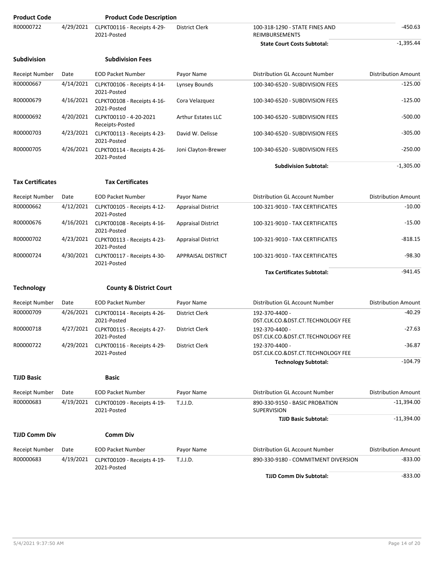| <b>Product Code</b>     |           | <b>Product Code Description</b>            |                           |                                                         |                            |
|-------------------------|-----------|--------------------------------------------|---------------------------|---------------------------------------------------------|----------------------------|
| R00000722               | 4/29/2021 | CLPKT00116 - Receipts 4-29-<br>2021-Posted | District Clerk            | 100-318-1290 - STATE FINES AND<br><b>REIMBURSEMENTS</b> | $-450.63$                  |
|                         |           |                                            |                           | <b>State Court Costs Subtotal:</b>                      | $-1,395.44$                |
| <b>Subdivision</b>      |           | <b>Subdivision Fees</b>                    |                           |                                                         |                            |
| <b>Receipt Number</b>   | Date      | <b>EOD Packet Number</b>                   | Payor Name                | Distribution GL Account Number                          | <b>Distribution Amount</b> |
| R00000667               | 4/14/2021 | CLPKT00106 - Receipts 4-14-<br>2021-Posted | Lynsey Bounds             | 100-340-6520 - SUBDIVISION FEES                         | $-125.00$                  |
| R00000679               | 4/16/2021 | CLPKT00108 - Receipts 4-16-<br>2021-Posted | Cora Velazquez            | 100-340-6520 - SUBDIVISION FEES                         | $-125.00$                  |
| R00000692               | 4/20/2021 | CLPKT00110 - 4-20-2021<br>Receipts-Posted  | <b>Arthur Estates LLC</b> | 100-340-6520 - SUBDIVISION FEES                         | $-500.00$                  |
| R00000703               | 4/23/2021 | CLPKT00113 - Receipts 4-23-<br>2021-Posted | David W. Delisse          | 100-340-6520 - SUBDIVISION FEES                         | $-305.00$                  |
| R00000705               | 4/26/2021 | CLPKT00114 - Receipts 4-26-<br>2021-Posted | Joni Clayton-Brewer       | 100-340-6520 - SUBDIVISION FEES                         | $-250.00$                  |
|                         |           |                                            |                           | <b>Subdivision Subtotal:</b>                            | $-1,305.00$                |
| <b>Tax Certificates</b> |           | <b>Tax Certificates</b>                    |                           |                                                         |                            |
| Receipt Number          | Date      | <b>EOD Packet Number</b>                   | Payor Name                | Distribution GL Account Number                          | <b>Distribution Amount</b> |
| R00000662               | 4/12/2021 | CLPKT00105 - Receipts 4-12-<br>2021-Posted | <b>Appraisal District</b> | 100-321-9010 - TAX CERTIFICATES                         | $-10.00$                   |
| R00000676               | 4/16/2021 | CLPKT00108 - Receipts 4-16-<br>2021-Posted | <b>Appraisal District</b> | 100-321-9010 - TAX CERTIFICATES                         | $-15.00$                   |
| R00000702               | 4/23/2021 | CLPKT00113 - Receipts 4-23-<br>2021-Posted | <b>Appraisal District</b> | 100-321-9010 - TAX CERTIFICATES                         | $-818.15$                  |
| R00000724               | 4/30/2021 | CLPKT00117 - Receipts 4-30-<br>2021-Posted | <b>APPRAISAL DISTRICT</b> | 100-321-9010 - TAX CERTIFICATES                         | $-98.30$                   |
|                         |           |                                            |                           | <b>Tax Certificates Subtotal:</b>                       | $-941.45$                  |
| <b>Technology</b>       |           | <b>County &amp; District Court</b>         |                           |                                                         |                            |
| <b>Receipt Number</b>   | Date      | <b>EOD Packet Number</b>                   | Payor Name                | Distribution GL Account Number                          | <b>Distribution Amount</b> |
| R00000709               | 4/26/2021 | CLPKT00114 - Receipts 4-26-<br>2021-Posted | District Clerk            | 192-370-4400 -<br>DST.CLK.CO.&DST.CT.TECHNOLOGY FEE     | $-40.29$                   |
| R00000718               | 4/27/2021 | CLPKT00115 - Receipts 4-27-<br>2021-Posted | District Clerk            | 192-370-4400 -<br>DST.CLK.CO.&DST.CT.TECHNOLOGY FEE     | $-27.63$                   |
| R00000722               | 4/29/2021 | CLPKT00116 - Receipts 4-29-<br>2021-Posted | District Clerk            | 192-370-4400 -<br>DST.CLK.CO.&DST.CT.TECHNOLOGY FEE     | $-36.87$                   |
|                         |           |                                            |                           | <b>Technology Subtotal:</b>                             | $-104.79$                  |
| <b>TJJD Basic</b>       |           | <b>Basic</b>                               |                           |                                                         |                            |
| Receipt Number          | Date      | <b>EOD Packet Number</b>                   | Payor Name                | Distribution GL Account Number                          | <b>Distribution Amount</b> |
| R00000683               | 4/19/2021 | CLPKT00109 - Receipts 4-19-<br>2021-Posted | T.J.J.D.                  | 890-330-9150 - BASIC PROBATION<br>SUPERVISION           | $-11,394.00$               |
|                         |           |                                            |                           | <b>TJJD Basic Subtotal:</b>                             | $-11,394.00$               |
| <b>TJJD Comm Div</b>    |           | <b>Comm Div</b>                            |                           |                                                         |                            |
| Receipt Number          | Date      | <b>EOD Packet Number</b>                   | Payor Name                | Distribution GL Account Number                          | <b>Distribution Amount</b> |
| R00000683               | 4/19/2021 | CLPKT00109 - Receipts 4-19-<br>2021-Posted | T.J.J.D.                  | 890-330-9180 - COMMITMENT DIVERSION                     | $-833.00$                  |
|                         |           |                                            |                           | <b>TJJD Comm Div Subtotal:</b>                          | $-833.00$                  |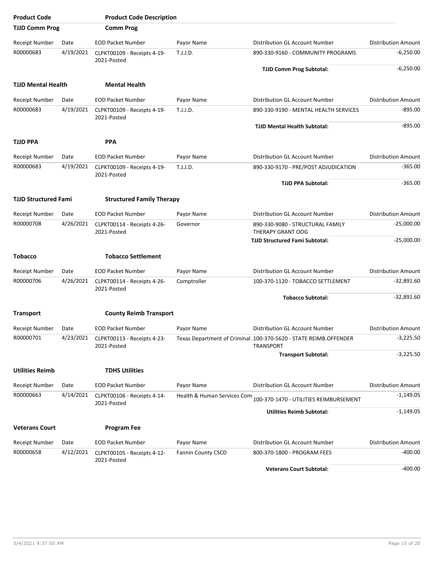| <b>Product Code</b>         |           | <b>Product Code Description</b>            |                           |                                                                                       |                            |
|-----------------------------|-----------|--------------------------------------------|---------------------------|---------------------------------------------------------------------------------------|----------------------------|
| <b>TJJD Comm Prog</b>       |           | <b>Comm Prog</b>                           |                           |                                                                                       |                            |
| <b>Receipt Number</b>       | Date      | <b>EOD Packet Number</b>                   | Payor Name                | Distribution GL Account Number                                                        | <b>Distribution Amount</b> |
| R00000683                   | 4/19/2021 | CLPKT00109 - Receipts 4-19-<br>2021-Posted | T.J.J.D.                  | 890-330-9160 - COMMUNITY PROGRAMS                                                     | $-6,250.00$                |
|                             |           |                                            |                           | <b>TJJD Comm Prog Subtotal:</b>                                                       | $-6,250.00$                |
| <b>TJJD Mental Health</b>   |           | <b>Mental Health</b>                       |                           |                                                                                       |                            |
| <b>Receipt Number</b>       | Date      | <b>EOD Packet Number</b>                   | Payor Name                | Distribution GL Account Number                                                        | <b>Distribution Amount</b> |
| R00000683                   | 4/19/2021 | CLPKT00109 - Receipts 4-19-<br>2021-Posted | T.J.J.D.                  | 890-330-9190 - MENTAL HEALTH SERVICES                                                 | $-895.00$                  |
|                             |           |                                            |                           | <b>TJJD Mental Health Subtotal:</b>                                                   | $-895.00$                  |
| <b>TJJD PPA</b>             |           | <b>PPA</b>                                 |                           |                                                                                       |                            |
| Receipt Number              | Date      | <b>EOD Packet Number</b>                   | Payor Name                | Distribution GL Account Number                                                        | <b>Distribution Amount</b> |
| R00000683                   | 4/19/2021 | CLPKT00109 - Receipts 4-19-<br>2021-Posted | T.J.J.D.                  | 890-330-9170 - PRE/POST ADJUDICATION                                                  | $-365.00$                  |
|                             |           |                                            |                           | <b>TJJD PPA Subtotal:</b>                                                             | $-365.00$                  |
| <b>TJJD Structured Fami</b> |           | <b>Structured Family Therapy</b>           |                           |                                                                                       |                            |
| Receipt Number              | Date      | <b>EOD Packet Number</b>                   | Payor Name                | Distribution GL Account Number                                                        | <b>Distribution Amount</b> |
| R00000708                   | 4/26/2021 | CLPKT00114 - Receipts 4-26-<br>2021-Posted | Governor                  | 890-330-9080 - STRUCTURAL FAMILY<br>THERAPY GRANT OOG                                 | $-25,000.00$               |
|                             |           |                                            |                           | <b>TJJD Structured Fami Subtotal:</b>                                                 | $-25,000.00$               |
| <b>Tobacco</b>              |           | <b>Tobacco Settlement</b>                  |                           |                                                                                       |                            |
| Receipt Number              | Date      | <b>EOD Packet Number</b>                   | Payor Name                | Distribution GL Account Number                                                        | <b>Distribution Amount</b> |
| R00000706                   | 4/26/2021 | CLPKT00114 - Receipts 4-26-<br>2021-Posted | Comptroller               | 100-370-1120 - TOBACCO SETTLEMENT                                                     | $-32,891.60$               |
|                             |           |                                            |                           | <b>Tobacco Subtotal:</b>                                                              | $-32,891.60$               |
| <b>Transport</b>            |           | <b>County Reimb Transport</b>              |                           |                                                                                       |                            |
| Receipt Number              | Date      | <b>EOD Packet Number</b>                   | Payor Name                | Distribution GL Account Number                                                        | <b>Distribution Amount</b> |
| R00000701                   | 4/23/2021 | CLPKT00113 - Receipts 4-23-<br>2021-Posted |                           | Texas Department of Criminal J100-370-5620 - STATE REIMB.OFFENDER<br><b>TRANSPORT</b> | $-3,225.50$                |
|                             |           |                                            |                           | <b>Transport Subtotal:</b>                                                            | $-3,225.50$                |
| <b>Utilities Reimb</b>      |           | <b>TDHS Utilities</b>                      |                           |                                                                                       |                            |
| <b>Receipt Number</b>       | Date      | <b>EOD Packet Number</b>                   | Payor Name                | Distribution GL Account Number                                                        | <b>Distribution Amount</b> |
| R00000663                   | 4/14/2021 | CLPKT00106 - Receipts 4-14-<br>2021-Posted |                           | Health & Human Services Com 100-370-1470 - UTILITIES REIMBURSEMENT                    | $-1,149.05$                |
|                             |           |                                            |                           | <b>Utilities Reimb Subtotal:</b>                                                      | $-1,149.05$                |
| <b>Veterans Court</b>       |           | <b>Program Fee</b>                         |                           |                                                                                       |                            |
| Receipt Number              | Date      | <b>EOD Packet Number</b>                   | Payor Name                | Distribution GL Account Number                                                        | <b>Distribution Amount</b> |
| R00000658                   | 4/12/2021 | CLPKT00105 - Receipts 4-12-<br>2021-Posted | <b>Fannin County CSCD</b> | 800-370-1800 - PROGRAM FEES                                                           | -400.00                    |
|                             |           |                                            |                           | <b>Veterans Court Subtotal:</b>                                                       | $-400.00$                  |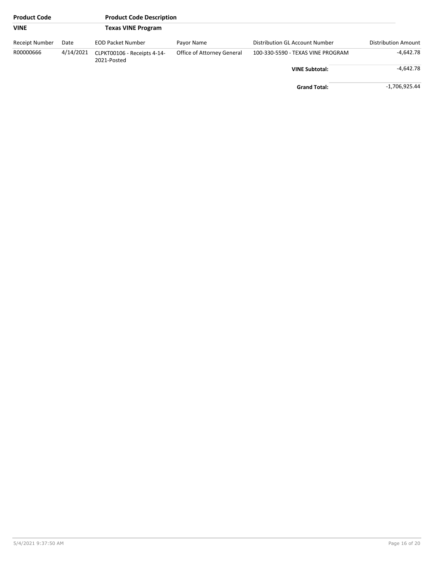| <b>Product Code</b> |           | <b>Product Code Description</b>            |                            |                                   |                     |
|---------------------|-----------|--------------------------------------------|----------------------------|-----------------------------------|---------------------|
| <b>VINE</b>         |           | <b>Texas VINE Program</b>                  |                            |                                   |                     |
| Receipt Number      | Date      | <b>EOD Packet Number</b>                   | Payor Name                 | Distribution GL Account Number    | Distribution Amount |
| R00000666           | 4/14/2021 | CLPKT00106 - Receipts 4-14-<br>2021-Posted | Office of Attorney General | 100-330-5590 - TEXAS VINE PROGRAM | -4,642.78           |
|                     |           |                                            |                            | <b>VINE Subtotal:</b>             | $-4.642.78$         |
|                     |           |                                            |                            | <b>Grand Total:</b>               | -1,706,925.44       |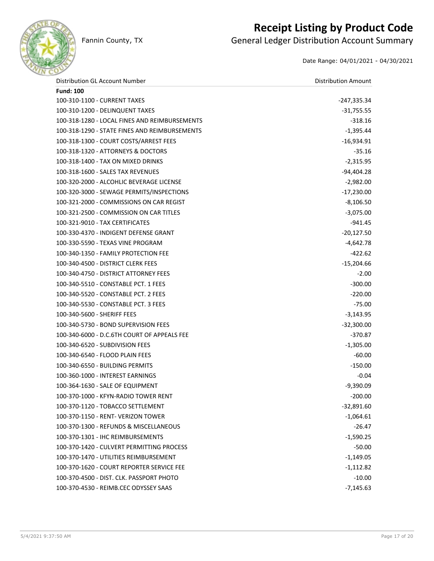

## **Receipt Listing by Product Code**

Fannin County, TX **General Ledger Distribution Account Summary** 

Date Range: 04/01/2021 - 04/30/2021

| Distribution GL Account Number                | <b>Distribution Amount</b> |
|-----------------------------------------------|----------------------------|
| <b>Fund: 100</b>                              |                            |
| 100-310-1100 - CURRENT TAXES                  | -247,335.34                |
| 100-310-1200 - DELINQUENT TAXES               | $-31,755.55$               |
| 100-318-1280 - LOCAL FINES AND REIMBURSEMENTS | $-318.16$                  |
| 100-318-1290 - STATE FINES AND REIMBURSEMENTS | $-1,395.44$                |
| 100-318-1300 - COURT COSTS/ARREST FEES        | $-16,934.91$               |
| 100-318-1320 - ATTORNEYS & DOCTORS            | $-35.16$                   |
| 100-318-1400 - TAX ON MIXED DRINKS            | $-2,315.95$                |
| 100-318-1600 - SALES TAX REVENUES             | $-94,404.28$               |
| 100-320-2000 - ALCOHLIC BEVERAGE LICENSE      | $-2,982.00$                |
| 100-320-3000 - SEWAGE PERMITS/INSPECTIONS     | $-17,230.00$               |
| 100-321-2000 - COMMISSIONS ON CAR REGIST      | $-8,106.50$                |
| 100-321-2500 - COMMISSION ON CAR TITLES       | $-3,075.00$                |
| 100-321-9010 - TAX CERTIFICATES               | -941.45                    |
| 100-330-4370 - INDIGENT DEFENSE GRANT         | $-20,127.50$               |
| 100-330-5590 - TEXAS VINE PROGRAM             | $-4,642.78$                |
| 100-340-1350 - FAMILY PROTECTION FEE          | -422.62                    |
| 100-340-4500 - DISTRICT CLERK FEES            | $-15,204.66$               |
| 100-340-4750 - DISTRICT ATTORNEY FEES         | $-2.00$                    |
| 100-340-5510 - CONSTABLE PCT. 1 FEES          | $-300.00$                  |
| 100-340-5520 - CONSTABLE PCT. 2 FEES          | $-220.00$                  |
| 100-340-5530 - CONSTABLE PCT. 3 FEES          | $-75.00$                   |
| 100-340-5600 - SHERIFF FEES                   | $-3,143.95$                |
| 100-340-5730 - BOND SUPERVISION FEES          | $-32,300.00$               |
| 100-340-6000 - D.C.6TH COURT OF APPEALS FEE   | $-370.87$                  |
| 100-340-6520 - SUBDIVISION FEES               | $-1,305.00$                |
| 100-340-6540 - FLOOD PLAIN FEES               | $-60.00$                   |
| 100-340-6550 - BUILDING PERMITS               | $-150.00$                  |
| 100-360-1000 - INTEREST EARNINGS              | $-0.04$                    |
| 100-364-1630 - SALE OF EQUIPMENT              | $-9,390.09$                |
| 100-370-1000 - KFYN-RADIO TOWER RENT          | $-200.00$                  |
| 100-370-1120 - TOBACCO SETTLEMENT             | $-32,891.60$               |
| 100-370-1150 - RENT- VERIZON TOWER            | $-1,064.61$                |
| 100-370-1300 - REFUNDS & MISCELLANEOUS        | $-26.47$                   |
| 100-370-1301 - IHC REIMBURSEMENTS             | $-1,590.25$                |
| 100-370-1420 - CULVERT PERMITTING PROCESS     | $-50.00$                   |
| 100-370-1470 - UTILITIES REIMBURSEMENT        | $-1,149.05$                |
| 100-370-1620 - COURT REPORTER SERVICE FEE     | $-1,112.82$                |
| 100-370-4500 - DIST. CLK. PASSPORT PHOTO      | $-10.00$                   |
| 100-370-4530 - REIMB.CEC ODYSSEY SAAS         | $-7,145.63$                |
|                                               |                            |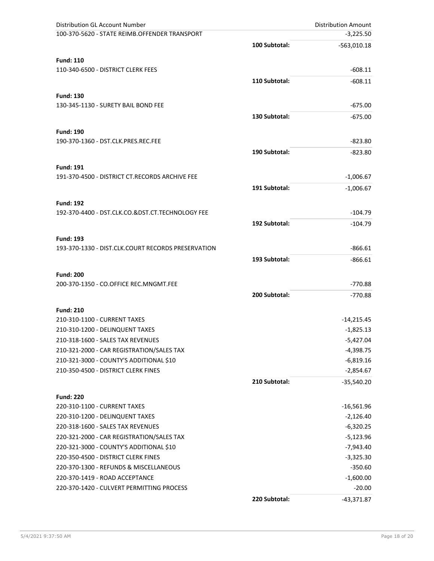| Distribution GL Account Number                                       |               | <b>Distribution Amount</b> |
|----------------------------------------------------------------------|---------------|----------------------------|
| 100-370-5620 - STATE REIMB.OFFENDER TRANSPORT                        |               | $-3,225.50$                |
|                                                                      | 100 Subtotal: | $-563,010.18$              |
|                                                                      |               |                            |
| <b>Fund: 110</b><br>110-340-6500 - DISTRICT CLERK FEES               |               |                            |
|                                                                      |               | $-608.11$                  |
|                                                                      | 110 Subtotal: | $-608.11$                  |
| <b>Fund: 130</b>                                                     |               |                            |
| 130-345-1130 - SURETY BAIL BOND FEE                                  |               | $-675.00$                  |
|                                                                      | 130 Subtotal: | $-675.00$                  |
|                                                                      |               |                            |
| <b>Fund: 190</b><br>190-370-1360 - DST.CLK.PRES.REC.FEE              |               | $-823.80$                  |
|                                                                      |               |                            |
|                                                                      | 190 Subtotal: | $-823.80$                  |
| <b>Fund: 191</b>                                                     |               |                            |
| 191-370-4500 - DISTRICT CT.RECORDS ARCHIVE FEE                       |               | $-1,006.67$                |
|                                                                      | 191 Subtotal: | $-1,006.67$                |
|                                                                      |               |                            |
| <b>Fund: 192</b><br>192-370-4400 - DST.CLK.CO.&DST.CT.TECHNOLOGY FEE |               | $-104.79$                  |
|                                                                      |               |                            |
|                                                                      | 192 Subtotal: | $-104.79$                  |
| <b>Fund: 193</b>                                                     |               |                            |
| 193-370-1330 - DIST.CLK.COURT RECORDS PRESERVATION                   |               | $-866.61$                  |
|                                                                      | 193 Subtotal: | $-866.61$                  |
| <b>Fund: 200</b>                                                     |               |                            |
| 200-370-1350 - CO.OFFICE REC.MNGMT.FEE                               |               | $-770.88$                  |
|                                                                      | 200 Subtotal: | $-770.88$                  |
|                                                                      |               |                            |
| <b>Fund: 210</b>                                                     |               |                            |
| 210-310-1100 - CURRENT TAXES                                         |               | $-14,215.45$               |
| 210-310-1200 - DELINQUENT TAXES                                      |               | $-1,825.13$                |
| 210-318-1600 - SALES TAX REVENUES                                    |               | $-5,427.04$                |
| 210-321-2000 - CAR REGISTRATION/SALES TAX                            |               | $-4,398.75$                |
| 210-321-3000 - COUNTY'S ADDITIONAL \$10                              |               | $-6,819.16$                |
| 210-350-4500 - DISTRICT CLERK FINES                                  |               | $-2,854.67$                |
|                                                                      | 210 Subtotal: | $-35,540.20$               |
| <b>Fund: 220</b>                                                     |               |                            |
| 220-310-1100 - CURRENT TAXES                                         |               | $-16,561.96$               |
| 220-310-1200 - DELINQUENT TAXES                                      |               | $-2,126.40$                |
| 220-318-1600 - SALES TAX REVENUES                                    |               | $-6,320.25$                |
| 220-321-2000 - CAR REGISTRATION/SALES TAX                            |               | $-5,123.96$                |
| 220-321-3000 - COUNTY'S ADDITIONAL \$10                              |               | $-7,943.40$                |
| 220-350-4500 - DISTRICT CLERK FINES                                  |               | $-3,325.30$                |
| 220-370-1300 - REFUNDS & MISCELLANEOUS                               |               | $-350.60$                  |
| 220-370-1419 - ROAD ACCEPTANCE                                       |               | $-1,600.00$                |
| 220-370-1420 - CULVERT PERMITTING PROCESS                            |               | $-20.00$                   |
|                                                                      | 220 Subtotal: | $-43,371.87$               |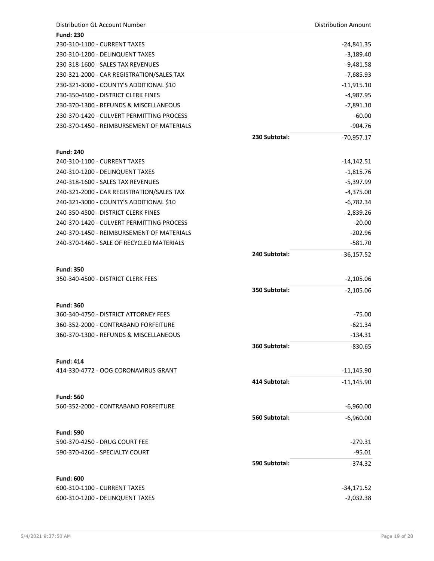| Distribution GL Account Number                           |               | <b>Distribution Amount</b> |
|----------------------------------------------------------|---------------|----------------------------|
| <b>Fund: 230</b>                                         |               |                            |
| 230-310-1100 - CURRENT TAXES                             |               | -24,841.35                 |
| 230-310-1200 - DELINQUENT TAXES                          |               | $-3,189.40$                |
| 230-318-1600 - SALES TAX REVENUES                        |               | $-9,481.58$                |
| 230-321-2000 - CAR REGISTRATION/SALES TAX                |               | $-7,685.93$                |
| 230-321-3000 - COUNTY'S ADDITIONAL \$10                  |               | $-11,915.10$               |
| 230-350-4500 - DISTRICT CLERK FINES                      |               | $-4,987.95$                |
| 230-370-1300 - REFUNDS & MISCELLANEOUS                   |               | $-7,891.10$                |
| 230-370-1420 - CULVERT PERMITTING PROCESS                |               | $-60.00$                   |
| 230-370-1450 - REIMBURSEMENT OF MATERIALS                |               | $-904.76$                  |
|                                                          | 230 Subtotal: | $-70,957.17$               |
| <b>Fund: 240</b>                                         |               |                            |
| 240-310-1100 - CURRENT TAXES                             |               | $-14,142.51$               |
| 240-310-1200 - DELINQUENT TAXES                          |               | $-1,815.76$                |
| 240-318-1600 - SALES TAX REVENUES                        |               | $-5,397.99$                |
| 240-321-2000 - CAR REGISTRATION/SALES TAX                |               | $-4,375.00$                |
| 240-321-3000 - COUNTY'S ADDITIONAL \$10                  |               | $-6,782.34$                |
| 240-350-4500 - DISTRICT CLERK FINES                      |               | $-2,839.26$                |
| 240-370-1420 - CULVERT PERMITTING PROCESS                |               | $-20.00$                   |
| 240-370-1450 - REIMBURSEMENT OF MATERIALS                |               | $-202.96$                  |
| 240-370-1460 - SALE OF RECYCLED MATERIALS                |               | $-581.70$                  |
|                                                          | 240 Subtotal: | $-36,157.52$               |
|                                                          |               |                            |
| <b>Fund: 350</b>                                         |               |                            |
| 350-340-4500 - DISTRICT CLERK FEES                       |               | $-2,105.06$                |
|                                                          | 350 Subtotal: | $-2,105.06$                |
| <b>Fund: 360</b>                                         |               |                            |
| 360-340-4750 - DISTRICT ATTORNEY FEES                    |               | $-75.00$                   |
| 360-352-2000 - CONTRABAND FORFEITURE                     |               | $-621.34$                  |
| 360-370-1300 - REFUNDS & MISCELLANEOUS                   |               | $-134.31$                  |
|                                                          | 360 Subtotal: | $-830.65$                  |
|                                                          |               |                            |
| <b>Fund: 414</b><br>414-330-4772 - OOG CORONAVIRUS GRANT |               | $-11,145.90$               |
|                                                          | 414 Subtotal: |                            |
|                                                          |               | $-11,145.90$               |
| <b>Fund: 560</b>                                         |               |                            |
| 560-352-2000 - CONTRABAND FORFEITURE                     |               | $-6,960.00$                |
|                                                          | 560 Subtotal: | $-6,960.00$                |
| <b>Fund: 590</b>                                         |               |                            |
| 590-370-4250 - DRUG COURT FEE                            |               | $-279.31$                  |
| 590-370-4260 - SPECIALTY COURT                           |               | $-95.01$                   |
|                                                          | 590 Subtotal: | $-374.32$                  |
|                                                          |               |                            |
| <b>Fund: 600</b>                                         |               |                            |
| 600-310-1100 - CURRENT TAXES                             |               | -34,171.52                 |
| 600-310-1200 - DELINQUENT TAXES                          |               | $-2,032.38$                |